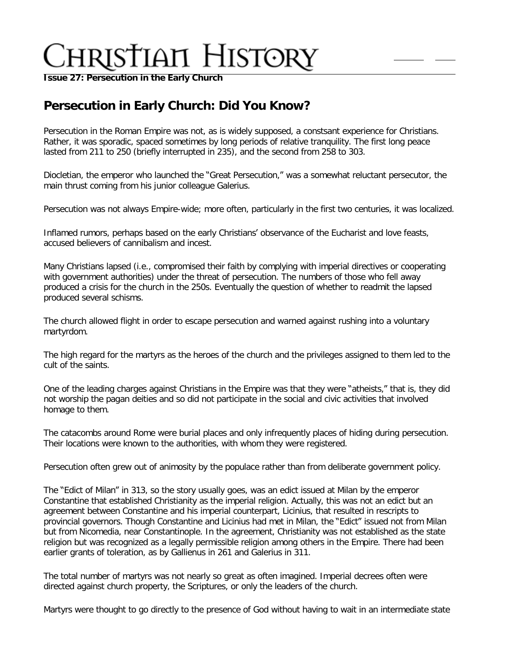# hristian History

**[Issue 27: Persecution in the Early Church](http://ctlstaging/ch/cdrom/collection.html?id=337)**

### **Persecution in Early Church: Did You Know?**

Persecution in the Roman Empire was not, as is widely supposed, a constsant experience for Christians. Rather, it was sporadic, spaced sometimes by long periods of relative tranquility. The first long peace lasted from 211 to 250 (briefly interrupted in 235), and the second from 258 to 303.

Diocletian, the emperor who launched the "Great Persecution," was a somewhat reluctant persecutor, the main thrust coming from his junior colleague Galerius.

Persecution was not always Empire-wide; more often, particularly in the first two centuries, it was localized.

Inflamed rumors, perhaps based on the early Christians' observance of the Eucharist and love feasts, accused believers of cannibalism and incest.

Many Christians lapsed (i.e., compromised their faith by complying with imperial directives or cooperating with government authorities) under the threat of persecution. The numbers of those who fell away produced a crisis for the church in the 250s. Eventually the question of whether to readmit the lapsed produced several schisms.

The church allowed flight in order to escape persecution and warned against rushing into a voluntary martyrdom.

The high regard for the martyrs as the heroes of the church and the privileges assigned to them led to the cult of the saints.

One of the leading charges against Christians in the Empire was that they were "atheists," that is, they did not worship the pagan deities and so did not participate in the social and civic activities that involved homage to them.

The catacombs around Rome were burial places and only infrequently places of hiding during persecution. Their locations were known to the authorities, with whom they were registered.

Persecution often grew out of animosity by the populace rather than from deliberate government policy.

The "Edict of Milan" in 313, so the story usually goes, was an edict issued at Milan by the emperor Constantine that established Christianity as the imperial religion. Actually, this was not an edict but an agreement between Constantine and his imperial counterpart, Licinius, that resulted in rescripts to provincial governors. Though Constantine and Licinius had met in Milan, the "Edict" issued not from Milan but from Nicomedia, near Constantinople. In the agreement, Christianity was not established as the state religion but was recognized as a legally permissible religion among others in the Empire. There had been earlier grants of toleration, as by Gallienus in 261 and Galerius in 311.

The total number of martyrs was not nearly so great as often imagined. Imperial decrees often were directed against church property, the Scriptures, or only the leaders of the church.

Martyrs were thought to go directly to the presence of God without having to wait in an intermediate state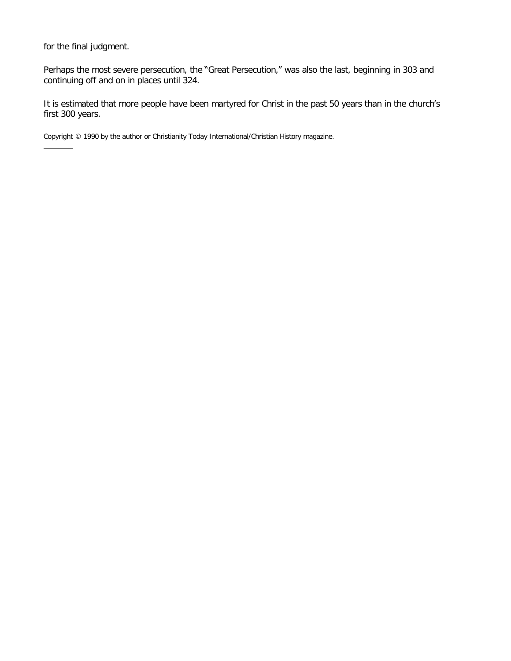for the final judgment.

Perhaps the most severe persecution, the "Great Persecution," was also the last, beginning in 303 and continuing off and on in places until 324.

It is estimated that more people have been martyred for Christ in the past 50 years than in the church's first 300 years.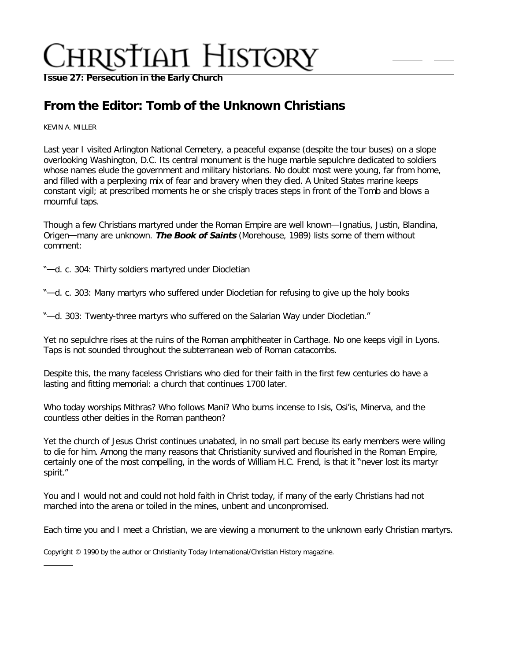# hristian Histor

**[Issue 27: Persecution in the Early Church](http://ctlstaging/ch/cdrom/collection.html?id=337)**

### **From the Editor: Tomb of the Unknown Christians**

KEVIN A. MILLER

Last year I visited Arlington National Cemetery, a peaceful expanse (despite the tour buses) on a slope overlooking Washington, D.C. Its central monument is the huge marble sepulchre dedicated to soldiers whose names elude the government and military historians. No doubt most were young, far from home, and filled with a perplexing mix of fear and bravery when they died. A United States marine keeps constant vigil; at prescribed moments he or she crisply traces steps in front of the Tomb and blows a mournful taps.

Though a few Christians martyred under the Roman Empire are well known—Ignatius, Justin, Blandina, Origen—many are unknown. **The Book of Saints** (Morehouse, 1989) lists some of them without comment:

"—d. c. 304: Thirty soldiers martyred under Diocletian

"—d. c. 303: Many martyrs who suffered under Diocletian for refusing to give up the holy books

"-d. 303: Twenty-three martyrs who suffered on the Salarian Way under Diocletian."

Yet no sepulchre rises at the ruins of the Roman amphitheater in Carthage. No one keeps vigil in Lyons. Taps is not sounded throughout the subterranean web of Roman catacombs.

Despite this, the many faceless Christians who died for their faith in the first few centuries do have a lasting and fitting memorial: a church that continues 1700 later.

Who today worships Mithras? Who follows Mani? Who burns incense to Isis, Osi'is, Minerva, and the countless other deities in the Roman pantheon?

Yet the church of Jesus Christ continues unabated, in no small part becuse its early members were wiling to die for him. Among the many reasons that Christianity survived and flourished in the Roman Empire, certainly one of the most compelling, in the words of William H.C. Frend, is that it "never lost its martyr spirit."

You and I would not and could not hold faith in Christ today, if many of the early Christians had not marched into the arena or toiled in the mines, unbent and unconpromised.

Each time you and I meet a Christian, we are viewing a monument to the unknown early Christian martyrs.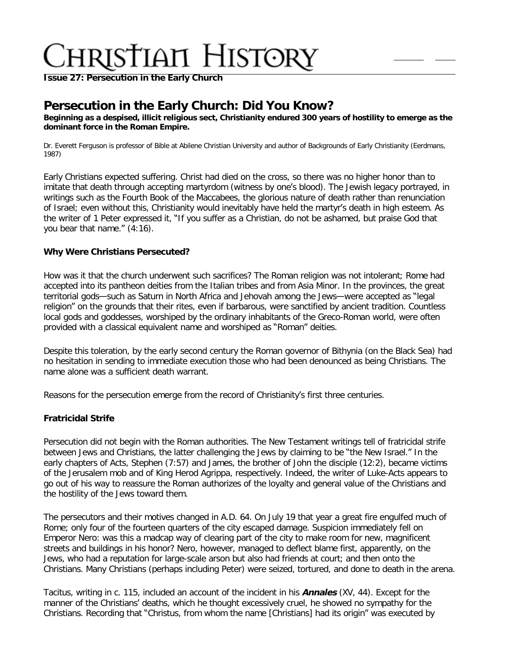## hristian History

**[Issue 27: Persecution in the Early Church](http://ctlstaging/ch/cdrom/collection.html?id=337)**

### **Persecution in the Early Church: Did You Know?**

**Beginning as a despised, illicit religious sect, Christianity endured 300 years of hostility to emerge as the dominant force in the Roman Empire.**

Dr. Everett Ferguson is professor of Bible at Abilene Christian University and author of Backgrounds of Early Christianity (Eerdmans, 1987)

Early Christians expected suffering. Christ had died on the cross, so there was no higher honor than to imitate that death through accepting martyrdom (witness by one's blood). The Jewish legacy portrayed, in writings such as the Fourth Book of the Maccabees, the glorious nature of death rather than renunciation of Israel; even without this, Christianity would inevitably have held the martyr's death in high esteem. As the writer of 1 Peter expressed it, "If you suffer as a Christian, do not be ashamed, but praise God that you bear that name." (4:16).

#### **Why Were Christians Persecuted?**

How was it that the church underwent such sacrifices? The Roman religion was not intolerant; Rome had accepted into its pantheon deities from the Italian tribes and from Asia Minor. In the provinces, the great territorial gods—such as Saturn in North Africa and Jehovah among the Jews—were accepted as "legal religion" on the grounds that their rites, even if barbarous, were sanctified by ancient tradition. Countless local gods and goddesses, worshiped by the ordinary inhabitants of the Greco-Roman world, were often provided with a classical equivalent name and worshiped as "Roman" deities.

Despite this toleration, by the early second century the Roman governor of Bithynia (on the Black Sea) had no hesitation in sending to immediate execution those who had been denounced as being Christians. The name alone was a sufficient death warrant.

Reasons for the persecution emerge from the record of Christianity's first three centuries.

#### **Fratricidal Strife**

Persecution did not begin with the Roman authorities. The New Testament writings tell of fratricidal strife between Jews and Christians, the latter challenging the Jews by claiming to be "the New Israel." In the early chapters of Acts, Stephen (7:57) and James, the brother of John the disciple (12:2), became victims of the Jerusalem mob and of King Herod Agrippa, respectively. Indeed, the writer of Luke-Acts appears to go out of his way to reassure the Roman authorizes of the loyalty and general value of the Christians and the hostility of the Jews toward them.

The persecutors and their motives changed in A.D. 64. On July 19 that year a great fire engulfed much of Rome; only four of the fourteen quarters of the city escaped damage. Suspicion immediately fell on Emperor Nero: was this a madcap way of clearing part of the city to make room for new, magnificent streets and buildings in his honor? Nero, however, managed to deflect blame first, apparently, on the Jews, who had a reputation for large-scale arson but also had friends at court; and then onto the Christians. Many Christians (perhaps including Peter) were seized, tortured, and done to death in the arena.

Tacitus, writing in c. 115, included an account of the incident in his **Annales** (XV, 44). Except for the manner of the Christians' deaths, which he thought excessively cruel, he showed no sympathy for the Christians. Recording that "Christus, from whom the name [Christians] had its origin" was executed by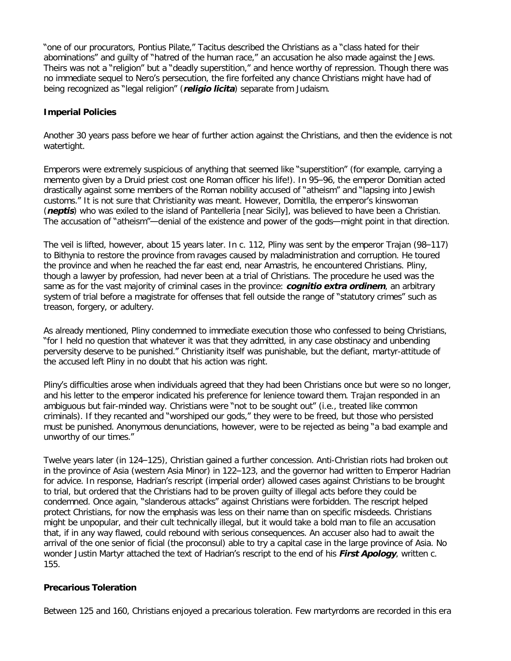"one of our procurators, Pontius Pilate," Tacitus described the Christians as a "class hated for their abominations" and guilty of "hatred of the human race," an accusation he also made against the Jews. Theirs was not a "religion" but a "deadly superstition," and hence worthy of repression. Though there was no immediate sequel to Nero's persecution, the fire forfeited any chance Christians might have had of being recognized as "legal religion" (**religio licita**) separate from Judaism.

#### **Imperial Policies**

Another 30 years pass before we hear of further action against the Christians, and then the evidence is not watertight.

Emperors were extremely suspicious of anything that seemed like "superstition" (for example, carrying a memento given by a Druid priest cost one Roman officer his life!). In 95–96, the emperor Domitian acted drastically against some members of the Roman nobility accused of "atheism" and "lapsing into Jewish customs." It is not sure that Christianity was meant. However, Domitlla, the emperor's kinswoman (**neptis**) who was exiled to the island of Pantelleria [near Sicily], was believed to have been a Christian. The accusation of "atheism"—denial of the existence and power of the gods—might point in that direction.

The veil is lifted, however, about 15 years later. In c. 112, Pliny was sent by the emperor Trajan (98–117) to Bithynia to restore the province from ravages caused by maladministration and corruption. He toured the province and when he reached the far east end, near Amastris, he encountered Christians. Pliny, though a lawyer by profession, had never been at a trial of Christians. The procedure he used was the same as for the vast majority of criminal cases in the province: **cognitio extra ordinem**, an arbitrary system of trial before a magistrate for offenses that fell outside the range of "statutory crimes" such as treason, forgery, or adultery.

As already mentioned, Pliny condemned to immediate execution those who confessed to being Christians, "for I held no question that whatever it was that they admitted, in any case obstinacy and unbending perversity deserve to be punished." Christianity itself was punishable, but the defiant, martyr-attitude of the accused left Pliny in no doubt that his action was right.

Pliny's difficulties arose when individuals agreed that they had been Christians once but were so no longer, and his letter to the emperor indicated his preference for lenience toward them. Trajan responded in an ambiguous but fair-minded way. Christians were "not to be sought out" (i.e., treated like common criminals). If they recanted and "worshiped our gods," they were to be freed, but those who persisted must be punished. Anonymous denunciations, however, were to be rejected as being "a bad example and unworthy of our times."

Twelve years later (in 124–125), Christian gained a further concession. Anti-Christian riots had broken out in the province of Asia (western Asia Minor) in 122–123, and the governor had written to Emperor Hadrian for advice. In response, Hadrian's rescript (imperial order) allowed cases against Christians to be brought to trial, but ordered that the Christians had to be proven guilty of illegal acts before they could be condemned. Once again, "slanderous attacks" against Christians were forbidden. The rescript helped protect Christians, for now the emphasis was less on their name than on specific misdeeds. Christians might be unpopular, and their cult technically illegal, but it would take a bold man to file an accusation that, if in any way flawed, could rebound with serious consequences. An accuser also had to await the arrival of the one senior of ficial (the proconsul) able to try a capital case in the large province of Asia. No wonder Justin Martyr attached the text of Hadrian's rescript to the end of his **First Apology**, written c. 155.

#### **Precarious Toleration**

Between 125 and 160, Christians enjoyed a precarious toleration. Few martyrdoms are recorded in this era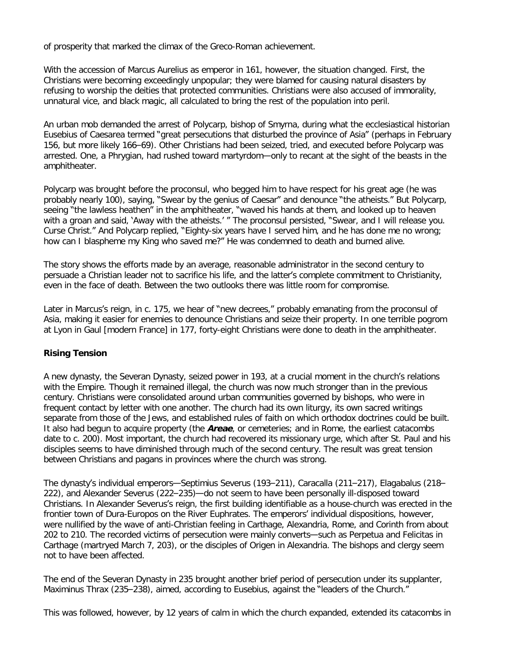of prosperity that marked the climax of the Greco-Roman achievement.

With the accession of Marcus Aurelius as emperor in 161, however, the situation changed. First, the Christians were becoming exceedingly unpopular; they were blamed for causing natural disasters by refusing to worship the deities that protected communities. Christians were also accused of immorality, unnatural vice, and black magic, all calculated to bring the rest of the population into peril.

An urban mob demanded the arrest of Polycarp, bishop of Smyrna, during what the ecclesiastical historian Eusebius of Caesarea termed "great persecutions that disturbed the province of Asia" (perhaps in February 156, but more likely 166–69). Other Christians had been seized, tried, and executed before Polycarp was arrested. One, a Phrygian, had rushed toward martyrdom—only to recant at the sight of the beasts in the amphitheater.

Polycarp was brought before the proconsul, who begged him to have respect for his great age (he was probably nearly 100), saying, "Swear by the genius of Caesar" and denounce "the atheists." But Polycarp, seeing "the lawless heathen" in the amphitheater, "waved his hands at them, and looked up to heaven with a groan and said, 'Away with the atheists.' " The proconsul persisted, "Swear, and I will release you. Curse Christ." And Polycarp replied, "Eighty-six years have I served him, and he has done me no wrong; how can I blaspheme my King who saved me?" He was condemned to death and burned alive.

The story shows the efforts made by an average, reasonable administrator in the second century to persuade a Christian leader not to sacrifice his life, and the latter's complete commitment to Christianity, even in the face of death. Between the two outlooks there was little room for compromise.

Later in Marcus's reign, in c. 175, we hear of "new decrees," probably emanating from the proconsul of Asia, making it easier for enemies to denounce Christians and seize their property. In one terrible pogrom at Lyon in Gaul [modern France] in 177, forty-eight Christians were done to death in the amphitheater.

#### **Rising Tension**

A new dynasty, the Severan Dynasty, seized power in 193, at a crucial moment in the church's relations with the Empire. Though it remained illegal, the church was now much stronger than in the previous century. Christians were consolidated around urban communities governed by bishops, who were in frequent contact by letter with one another. The church had its own liturgy, its own sacred writings separate from those of the Jews, and established rules of faith on which orthodox doctrines could be built. It also had begun to acquire property (the **Areae**, or cemeteries; and in Rome, the earliest catacombs date to c. 200). Most important, the church had recovered its missionary urge, which after St. Paul and his disciples seems to have diminished through much of the second century. The result was great tension between Christians and pagans in provinces where the church was strong.

The dynasty's individual emperors—Septimius Severus (193–211), Caracalla (211–217), Elagabalus (218– 222), and Alexander Severus (222–235)—do not seem to have been personally ill-disposed toward Christians. In Alexander Severus's reign, the first building identifiable as a house-church was erected in the frontier town of Dura-Europos on the River Euphrates. The emperors' individual dispositions, however, were nullified by the wave of anti-Christian feeling in Carthage, Alexandria, Rome, and Corinth from about 202 to 210. The recorded victims of persecution were mainly converts—such as Perpetua and Felicitas in Carthage (martryed March 7, 203), or the disciples of Origen in Alexandria. The bishops and clergy seem not to have been affected.

The end of the Severan Dynasty in 235 brought another brief period of persecution under its supplanter, Maximinus Thrax (235–238), aimed, according to Eusebius, against the "leaders of the Church."

This was followed, however, by 12 years of calm in which the church expanded, extended its catacombs in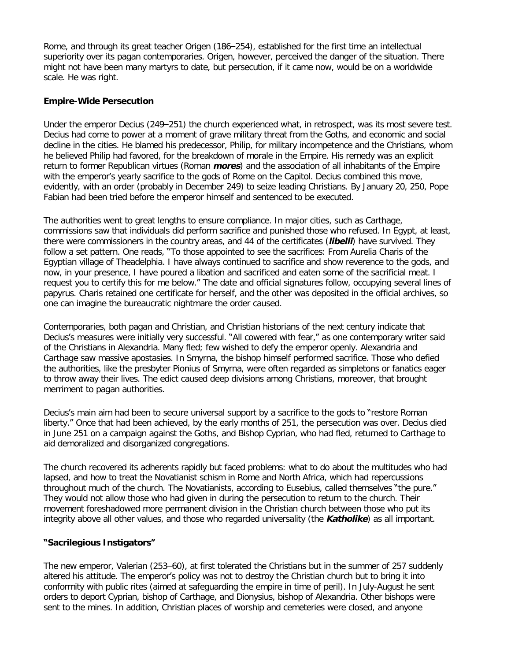Rome, and through its great teacher Origen (186–254), established for the first time an intellectual superiority over its pagan contemporaries. Origen, however, perceived the danger of the situation. There might not have been many martyrs to date, but persecution, if it came now, would be on a worldwide scale. He was right.

#### **Empire-Wide Persecution**

Under the emperor Decius (249–251) the church experienced what, in retrospect, was its most severe test. Decius had come to power at a moment of grave military threat from the Goths, and economic and social decline in the cities. He blamed his predecessor, Philip, for military incompetence and the Christians, whom he believed Philip had favored, for the breakdown of morale in the Empire. His remedy was an explicit return to former Republican virtues (Roman **mores**) and the association of all inhabitants of the Empire with the emperor's yearly sacrifice to the gods of Rome on the Capitol. Decius combined this move, evidently, with an order (probably in December 249) to seize leading Christians. By January 20, 250, Pope Fabian had been tried before the emperor himself and sentenced to be executed.

The authorities went to great lengths to ensure compliance. In major cities, such as Carthage, commissions saw that individuals did perform sacrifice and punished those who refused. In Egypt, at least, there were commissioners in the country areas, and 44 of the certificates (**libelli**) have survived. They follow a set pattern. One reads, "To those appointed to see the sacrifices: From Aurelia Charis of the Egyptian village of Theadelphia. I have always continued to sacrifice and show reverence to the gods, and now, in your presence, I have poured a libation and sacrificed and eaten some of the sacrificial meat. I request you to certify this for me below." The date and official signatures follow, occupying several lines of papyrus. Charis retained one certificate for herself, and the other was deposited in the official archives, so one can imagine the bureaucratic nightmare the order caused.

Contemporaries, both pagan and Christian, and Christian historians of the next century indicate that Decius's measures were initially very successful. "All cowered with fear," as one contemporary writer said of the Christians in Alexandria. Many fled; few wished to defy the emperor openly. Alexandria and Carthage saw massive apostasies. In Smyrna, the bishop himself performed sacrifice. Those who defied the authorities, like the presbyter Pionius of Smyrna, were often regarded as simpletons or fanatics eager to throw away their lives. The edict caused deep divisions among Christians, moreover, that brought merriment to pagan authorities.

Decius's main aim had been to secure universal support by a sacrifice to the gods to "restore Roman liberty." Once that had been achieved, by the early months of 251, the persecution was over. Decius died in June 251 on a campaign against the Goths, and Bishop Cyprian, who had fled, returned to Carthage to aid demoralized and disorganized congregations.

The church recovered its adherents rapidly but faced problems: what to do about the multitudes who had lapsed, and how to treat the Novatianist schism in Rome and North Africa, which had repercussions throughout much of the church. The Novatianists, according to Eusebius, called themselves "the pure." They would not allow those who had given in during the persecution to return to the church. Their movement foreshadowed more permanent division in the Christian church between those who put its integrity above all other values, and those who regarded universality (the **Katholike**) as all important.

#### **"Sacrilegious Instigators"**

The new emperor, Valerian (253–60), at first tolerated the Christians but in the summer of 257 suddenly altered his attitude. The emperor's policy was not to destroy the Christian church but to bring it into conformity with public rites (aimed at safeguarding the empire in time of peril). In July-August he sent orders to deport Cyprian, bishop of Carthage, and Dionysius, bishop of Alexandria. Other bishops were sent to the mines. In addition, Christian places of worship and cemeteries were closed, and anyone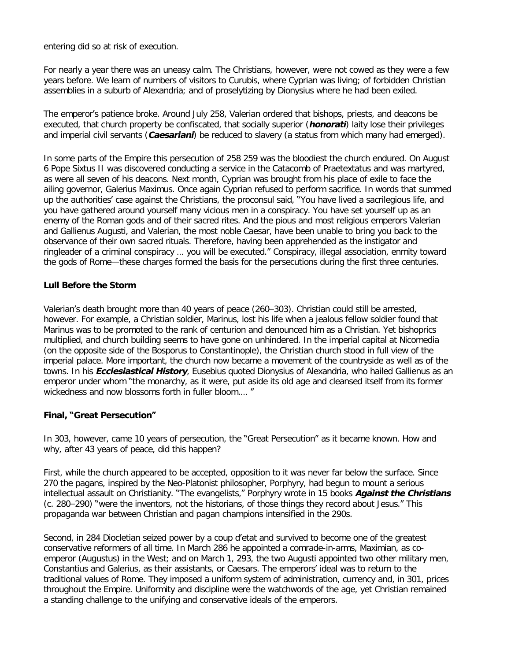entering did so at risk of execution.

For nearly a year there was an uneasy calm. The Christians, however, were not cowed as they were a few years before. We learn of numbers of visitors to Curubis, where Cyprian was living; of forbidden Christian assemblies in a suburb of Alexandria; and of proselytizing by Dionysius where he had been exiled.

The emperor's patience broke. Around July 258, Valerian ordered that bishops, priests, and deacons be executed, that church property be confiscated, that socially superior (**honorati**) laity lose their privileges and imperial civil servants (**Caesariani**) be reduced to slavery (a status from which many had emerged).

In some parts of the Empire this persecution of 258 259 was the bloodiest the church endured. On August 6 Pope Sixtus II was discovered conducting a service in the Catacomb of Praetextatus and was martyred, as were all seven of his deacons. Next month, Cyprian was brought from his place of exile to face the ailing governor, Galerius Maximus. Once again Cyprian refused to perform sacrifice. In words that summed up the authorities' case against the Christians, the proconsul said, "You have lived a sacrilegious life, and you have gathered around yourself many vicious men in a conspiracy. You have set yourself up as an enemy of the Roman gods and of their sacred rites. And the pious and most religious emperors Valerian and Gallienus Augusti, and Valerian, the most noble Caesar, have been unable to bring you back to the observance of their own sacred rituals. Therefore, having been apprehended as the instigator and ringleader of a criminal conspiracy … you will be executed." Conspiracy, illegal association, enmity toward the gods of Rome—these charges formed the basis for the persecutions during the first three centuries.

#### **Lull Before the Storm**

Valerian's death brought more than 40 years of peace (260–303). Christian could still be arrested, however. For example, a Christian soldier, Marinus, lost his life when a jealous fellow soldier found that Marinus was to be promoted to the rank of centurion and denounced him as a Christian. Yet bishoprics multiplied, and church building seems to have gone on unhindered. In the imperial capital at Nicomedia (on the opposite side of the Bosporus to Constantinople), the Christian church stood in full view of the imperial palace. More important, the church now became a movement of the countryside as well as of the towns. In his **Ecclesiastical History**, Eusebius quoted Dionysius of Alexandria, who hailed Gallienus as an emperor under whom "the monarchy, as it were, put aside its old age and cleansed itself from its former wickedness and now blossoms forth in fuller bloom.… "

#### **Final, "Great Persecution"**

In 303, however, came 10 years of persecution, the "Great Persecution" as it became known. How and why, after 43 years of peace, did this happen?

First, while the church appeared to be accepted, opposition to it was never far below the surface. Since 270 the pagans, inspired by the Neo-Platonist philosopher, Porphyry, had begun to mount a serious intellectual assault on Christianity. "The evangelists," Porphyry wrote in 15 books **Against the Christians** (c. 280–290) "were the inventors, not the historians, of those things they record about Jesus." This propaganda war between Christian and pagan champions intensified in the 290s.

Second, in 284 Diocletian seized power by a coup d'etat and survived to become one of the greatest conservative reformers of all time. In March 286 he appointed a comrade-in-arms, Maximian, as coemperor (Augustus) in the West; and on March 1, 293, the two Augusti appointed two other military men, Constantius and Galerius, as their assistants, or Caesars. The emperors' ideal was to return to the traditional values of Rome. They imposed a uniform system of administration, currency and, in 301, prices throughout the Empire. Uniformity and discipline were the watchwords of the age, yet Christian remained a standing challenge to the unifying and conservative ideals of the emperors.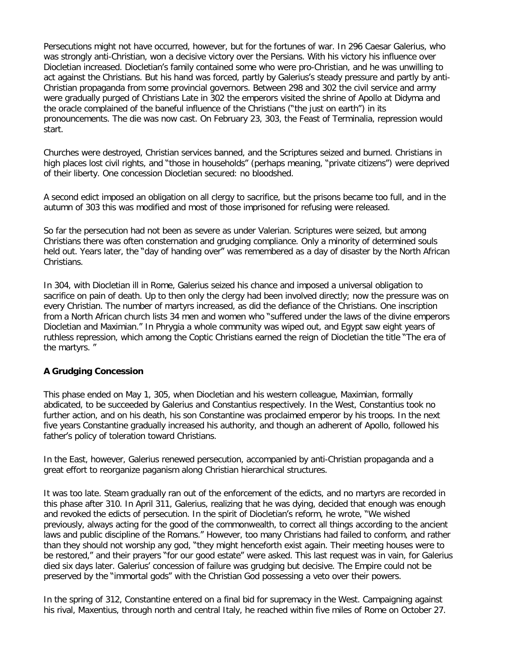Persecutions might not have occurred, however, but for the fortunes of war. In 296 Caesar Galerius, who was strongly anti-Christian, won a decisive victory over the Persians. With his victory his influence over Diocletian increased. Diocletian's family contained some who were pro-Christian, and he was unwilling to act against the Christians. But his hand was forced, partly by Galerius's steady pressure and partly by anti-Christian propaganda from some provincial governors. Between 298 and 302 the civil service and army were gradually purged of Christians Late in 302 the emperors visited the shrine of Apollo at Didyma and the oracle complained of the baneful influence of the Christians ("the just on earth") in its pronouncements. The die was now cast. On February 23, 303, the Feast of Terminalia, repression would start.

Churches were destroyed, Christian services banned, and the Scriptures seized and burned. Christians in high places lost civil rights, and "those in households" (perhaps meaning, "private citizens") were deprived of their liberty. One concession Diocletian secured: no bloodshed.

A second edict imposed an obligation on all clergy to sacrifice, but the prisons became too full, and in the autumn of 303 this was modified and most of those imprisoned for refusing were released.

So far the persecution had not been as severe as under Valerian. Scriptures were seized, but among Christians there was often consternation and grudging compliance. Only a minority of determined souls held out. Years later, the "day of handing over" was remembered as a day of disaster by the North African Christians.

In 304, with Diocletian ill in Rome, Galerius seized his chance and imposed a universal obligation to sacrifice on pain of death. Up to then only the clergy had been involved directly; now the pressure was on every Christian. The number of martyrs increased, as did the defiance of the Christians. One inscription from a North African church lists 34 men and women who "suffered under the laws of the divine emperors Diocletian and Maximian." In Phrygia a whole community was wiped out, and Egypt saw eight years of ruthless repression, which among the Coptic Christians earned the reign of Diocletian the title "The era of the martyrs. "

#### **A Grudging Concession**

This phase ended on May 1, 305, when Diocletian and his western colleague, Maximian, formally abdicated, to be succeeded by Galerius and Constantius respectively. In the West, Constantius took no further action, and on his death, his son Constantine was proclaimed emperor by his troops. In the next five years Constantine gradually increased his authority, and though an adherent of Apollo, followed his father's policy of toleration toward Christians.

In the East, however, Galerius renewed persecution, accompanied by anti-Christian propaganda and a great effort to reorganize paganism along Christian hierarchical structures.

It was too late. Steam gradually ran out of the enforcement of the edicts, and no martyrs are recorded in this phase after 310. In April 311, Galerius, realizing that he was dying, decided that enough was enough and revoked the edicts of persecution. In the spirit of Diocletian's reform, he wrote, "We wished previously, always acting for the good of the commonwealth, to correct all things according to the ancient laws and public discipline of the Romans." However, too many Christians had failed to conform, and rather than they should not worship any god, "they might henceforth exist again. Their meeting houses were to be restored," and their prayers "for our good estate" were asked. This last request was in vain, for Galerius died six days later. Galerius' concession of failure was grudging but decisive. The Empire could not be preserved by the "immortal gods" with the Christian God possessing a veto over their powers.

In the spring of 312, Constantine entered on a final bid for supremacy in the West. Campaigning against his rival, Maxentius, through north and central Italy, he reached within five miles of Rome on October 27.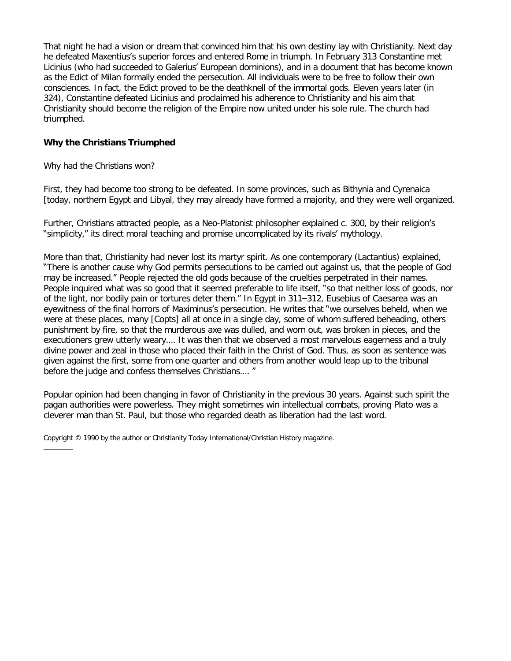That night he had a vision or dream that convinced him that his own destiny lay with Christianity. Next day he defeated Maxentius's superior forces and entered Rome in triumph. In February 313 Constantine met Licinius (who had succeeded to Galerius' European dominions), and in a document that has become known as the Edict of Milan formally ended the persecution. All individuals were to be free to follow their own consciences. In fact, the Edict proved to be the deathknell of the immortal gods. Eleven years later (in 324), Constantine defeated Licinius and proclaimed his adherence to Christianity and his aim that Christianity should become the religion of the Empire now united under his sole rule. The church had triumphed.

#### **Why the Christians Triumphed**

Why had the Christians won?

First, they had become too strong to be defeated. In some provinces, such as Bithynia and Cyrenaica [today, northern Egypt and Libyal, they may already have formed a majority, and they were well organized.

Further, Christians attracted people, as a Neo-Platonist philosopher explained c. 300, by their religion's "simplicity," its direct moral teaching and promise uncomplicated by its rivals' mythology.

More than that, Christianity had never lost its martyr spirit. As one contemporary (Lactantius) explained, "There is another cause why God permits persecutions to be carried out against us, that the people of God may be increased." People rejected the old gods because of the cruelties perpetrated in their names. People inquired what was so good that it seemed preferable to life itself, "so that neither loss of goods, nor of the light, nor bodily pain or tortures deter them." In Egypt in 311–312, Eusebius of Caesarea was an eyewitness of the final horrors of Maximinus's persecution. He writes that "we ourselves beheld, when we were at these places, many [Copts] all at once in a single day, some of whom suffered beheading, others punishment by fire, so that the murderous axe was dulled, and worn out, was broken in pieces, and the executioners grew utterly weary.… It was then that we observed a most marvelous eagerness and a truly divine power and zeal in those who placed their faith in the Christ of God. Thus, as soon as sentence was given against the first, some from one quarter and others from another would leap up to the tribunal before the judge and confess themselves Christians.… "

Popular opinion had been changing in favor of Christianity in the previous 30 years. Against such spirit the pagan authorities were powerless. They might sometimes win intellectual combats, proving Plato was a cleverer man than St. Paul, but those who regarded death as liberation had the last word.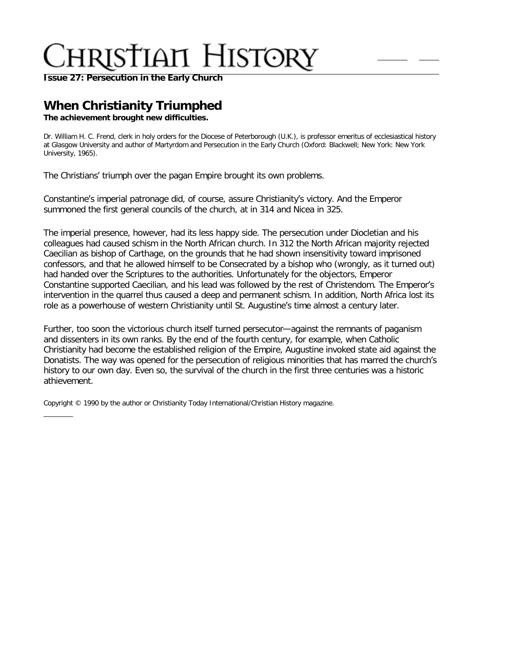# hristian Histor

**[Issue 27: Persecution in the Early Church](http://ctlstaging/ch/cdrom/collection.html?id=337)**

### **When Christianity Triumphed**

**The achievement brought new difficulties.**

Dr. William H. C. Frend, clerk in holy orders for the Diocese of Peterborough (U.K.), is professor emeritus of ecclesiastical history at Glasgow University and author of Martyrdom and Persecution in the Early Church (Oxford: Blackwell; New York: New York University, 1965).

The Christians' triumph over the pagan Empire brought its own problems.

Constantine's imperial patronage did, of course, assure Christianity's victory. And the Emperor summoned the first general councils of the church, at in 314 and Nicea in 325.

The imperial presence, however, had its less happy side. The persecution under Diocletian and his colleagues had caused schism in the North African church. In 312 the North African majority rejected Caecilian as bishop of Carthage, on the grounds that he had shown insensitivity toward imprisoned confessors, and that he allowed himself to be Consecrated by a bishop who (wrongly, as it turned out) had handed over the Scriptures to the authorities. Unfortunately for the objectors, Emperor Constantine supported Caecilian, and his lead was followed by the rest of Christendom. The Emperor's intervention in the quarrel thus caused a deep and permanent schism. In addition, North Africa lost its role as a powerhouse of western Christianity until St. Augustine's time almost a century later.

Further, too soon the victorious church itself turned persecutor—against the remnants of paganism and dissenters in its own ranks. By the end of the fourth century, for example, when Catholic Christianity had become the established religion of the Empire, Augustine invoked state aid against the Donatists. The way was opened for the persecution of religious minorities that has marred the church's history to our own day. Even so, the survival of the church in the first three centuries was a historic athievement.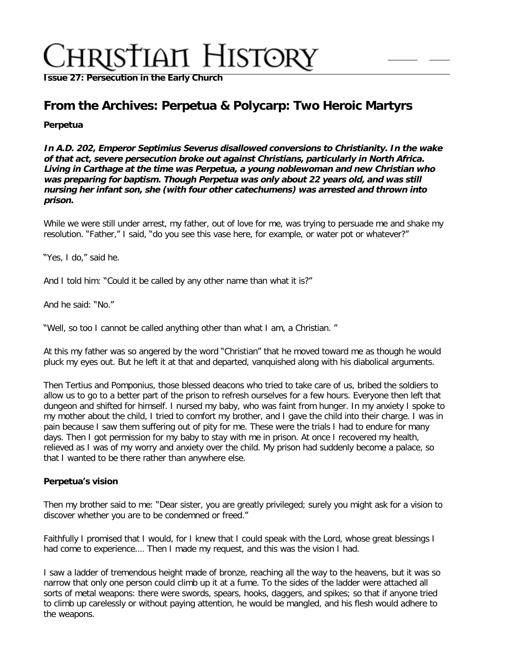## hristian History

**[Issue 27: Persecution in the Early Church](http://ctlstaging/ch/cdrom/collection.html?id=337)**

### **From the Archives: Perpetua & Polycarp: Two Heroic Martyrs**

#### **Perpetua**

**In A.D. 202, Emperor Septimius Severus disallowed conversions to Christianity. In the wake of that act, severe persecution broke out against Christians, particularly in North Africa. Living in Carthage at the time was Perpetua, a young noblewoman and new Christian who was preparing for baptism. Though Perpetua was only about 22 years old, and was still nursing her infant son, she (with four other catechumens) was arrested and thrown into prison.** 

While we were still under arrest, my father, out of love for me, was trying to persuade me and shake my resolution. "Father," I said, "do you see this vase here, for example, or water pot or whatever?"

"Yes, I do," said he.

And I told him: "Could it be called by any other name than what it is?"

And he said: "No."

"Well, so too I cannot be called anything other than what I am, a Christian. "

At this my father was so angered by the word "Christian" that he moved toward me as though he would pluck my eyes out. But he left it at that and departed, vanquished along with his diabolical arguments.

Then Tertius and Pomponius, those blessed deacons who tried to take care of us, bribed the soldiers to allow us to go to a better part of the prison to refresh ourselves for a few hours. Everyone then left that dungeon and shifted for himself. I nursed my baby, who was faint from hunger. In my anxiety I spoke to my mother about the child, I tried to comfort my brother, and I gave the child into their charge. I was in pain because I saw them suffering out of pity for me. These were the trials I had to endure for many days. Then I got permission for my baby to stay with me in prison. At once I recovered my health, relieved as I was of my worry and anxiety over the child. My prison had suddenly become a palace, so that I wanted to be there rather than anywhere else.

#### **Perpetua's vision**

Then my brother said to me: "Dear sister, you are greatly privileged; surely you might ask for a vision to discover whether you are to be condemned or freed."

Faithfully I promised that I would, for I knew that I could speak with the Lord, whose great blessings I had come to experience.… Then I made my request, and this was the vision I had.

I saw a ladder of tremendous height made of bronze, reaching all the way to the heavens, but it was so narrow that only one person could climb up it at a fume. To the sides of the ladder were attached all sorts of metal weapons: there were swords, spears, hooks, daggers, and spikes; so that if anyone tried to climb up carelessly or without paying attention, he would be mangled, and his flesh would adhere to the weapons.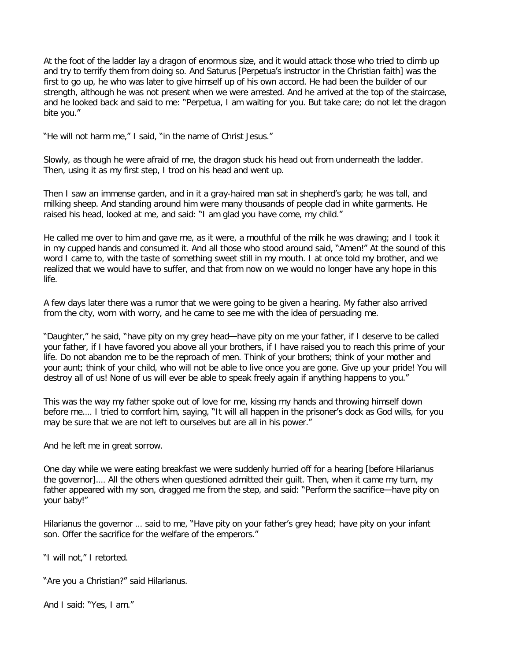At the foot of the ladder lay a dragon of enormous size, and it would attack those who tried to climb up and try to terrify them from doing so. And Saturus [Perpetua's instructor in the Christian faith] was the first to go up, he who was later to give himself up of his own accord. He had been the builder of our strength, although he was not present when we were arrested. And he arrived at the top of the staircase, and he looked back and said to me: "Perpetua, I am waiting for you. But take care; do not let the dragon bite you."

"He will not harm me," I said, "in the name of Christ Jesus."

Slowly, as though he were afraid of me, the dragon stuck his head out from underneath the ladder. Then, using it as my first step, I trod on his head and went up.

Then I saw an immense garden, and in it a gray-haired man sat in shepherd's garb; he was tall, and milking sheep. And standing around him were many thousands of people clad in white garments. He raised his head, looked at me, and said: "I am glad you have come, my child."

He called me over to him and gave me, as it were, a mouthful of the milk he was drawing; and I took it in my cupped hands and consumed it. And all those who stood around said, "Amen!" At the sound of this word I came to, with the taste of something sweet still in my mouth. I at once told my brother, and we realized that we would have to suffer, and that from now on we would no longer have any hope in this life.

A few days later there was a rumor that we were going to be given a hearing. My father also arrived from the city, worn with worry, and he came to see me with the idea of persuading me.

"Daughter," he said, "have pity on my grey head—have pity on me your father, if I deserve to be called your father, if I have favored you above all your brothers, if I have raised you to reach this prime of your life. Do not abandon me to be the reproach of men. Think of your brothers; think of your mother and your aunt; think of your child, who will not be able to live once you are gone. Give up your pride! You will destroy all of us! None of us will ever be able to speak freely again if anything happens to you."

This was the way my father spoke out of love for me, kissing my hands and throwing himself down before me.… I tried to comfort him, saying, "It will all happen in the prisoner's dock as God wills, for you may be sure that we are not left to ourselves but are all in his power."

And he left me in great sorrow.

One day while we were eating breakfast we were suddenly hurried off for a hearing [before Hilarianus the governor].… All the others when questioned admitted their guilt. Then, when it came my turn, my father appeared with my son, dragged me from the step, and said: "Perform the sacrifice—have pity on your baby!"

Hilarianus the governor … said to me, "Have pity on your father's grey head; have pity on your infant son. Offer the sacrifice for the welfare of the emperors."

"I will not," I retorted.

"Are you a Christian?" said Hilarianus.

And I said: "Yes, I am."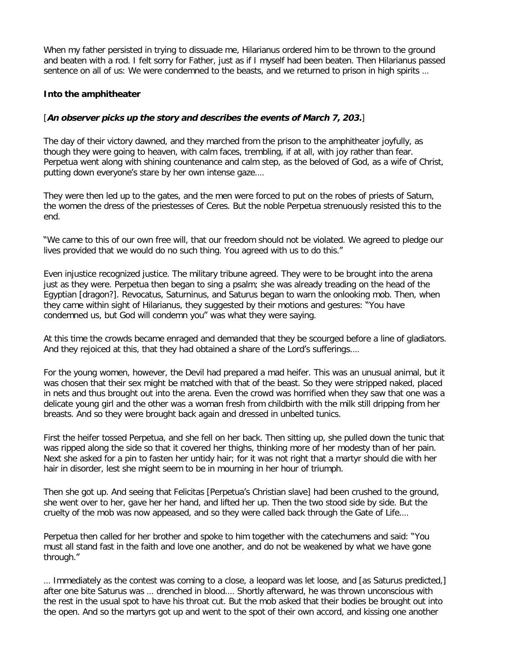When my father persisted in trying to dissuade me, Hilarianus ordered him to be thrown to the ground and beaten with a rod. I felt sorry for Father, just as if I myself had been beaten. Then Hilarianus passed sentence on all of us: We were condemned to the beasts, and we returned to prison in high spirits ...

#### **Into the amphitheater**

#### [**An observer picks up the story and describes the events of March 7, 203.**]

The day of their victory dawned, and they marched from the prison to the amphitheater joyfully, as though they were going to heaven, with calm faces, trembling, if at all, with joy rather than fear. Perpetua went along with shining countenance and calm step, as the beloved of God, as a wife of Christ, putting down everyone's stare by her own intense gaze.…

They were then led up to the gates, and the men were forced to put on the robes of priests of Saturn, the women the dress of the priestesses of Ceres. But the noble Perpetua strenuously resisted this to the end.

"We came to this of our own free will, that our freedom should not be violated. We agreed to pledge our lives provided that we would do no such thing. You agreed with us to do this."

Even injustice recognized justice. The military tribune agreed. They were to be brought into the arena just as they were. Perpetua then began to sing a psalm; she was already treading on the head of the Egyptian [dragon?]. Revocatus, Saturninus, and Saturus began to warn the onlooking mob. Then, when they came within sight of Hilarianus, they suggested by their motions and gestures: "You have condemned us, but God will condemn you" was what they were saying.

At this time the crowds became enraged and demanded that they be scourged before a line of gladiators. And they rejoiced at this, that they had obtained a share of the Lord's sufferings.…

For the young women, however, the Devil had prepared a mad heifer. This was an unusual animal, but it was chosen that their sex might be matched with that of the beast. So they were stripped naked, placed in nets and thus brought out into the arena. Even the crowd was horrified when they saw that one was a delicate young girl and the other was a woman fresh from childbirth with the milk still dripping from her breasts. And so they were brought back again and dressed in unbelted tunics.

First the heifer tossed Perpetua, and she fell on her back. Then sitting up, she pulled down the tunic that was ripped along the side so that it covered her thighs, thinking more of her modesty than of her pain. Next she asked for a pin to fasten her untidy hair; for it was not right that a martyr should die with her hair in disorder, lest she might seem to be in mourning in her hour of triumph.

Then she got up. And seeing that Felicitas [Perpetua's Christian slave] had been crushed to the ground, she went over to her, gave her her hand, and lifted her up. Then the two stood side by side. But the cruelty of the mob was now appeased, and so they were called back through the Gate of Life.…

Perpetua then called for her brother and spoke to him together with the catechumens and said: "You must all stand fast in the faith and love one another, and do not be weakened by what we have gone through."

… Immediately as the contest was coming to a close, a leopard was let loose, and [as Saturus predicted,] after one bite Saturus was … drenched in blood.… Shortly afterward, he was thrown unconscious with the rest in the usual spot to have his throat cut. But the mob asked that their bodies be brought out into the open. And so the martyrs got up and went to the spot of their own accord, and kissing one another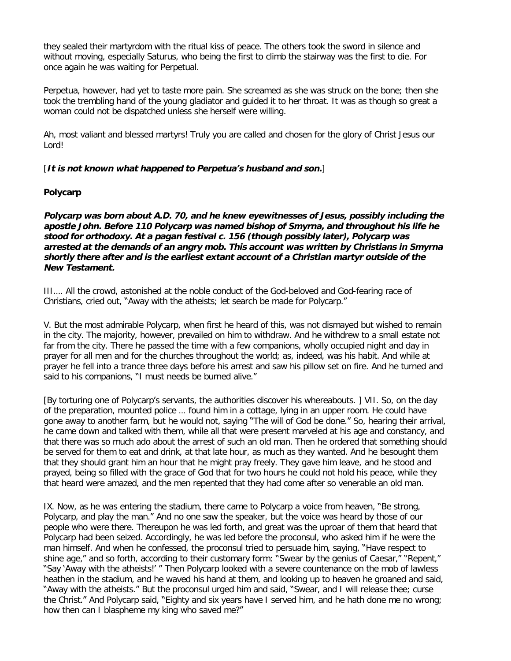they sealed their martyrdom with the ritual kiss of peace. The others took the sword in silence and without moving, especially Saturus, who being the first to climb the stairway was the first to die. For once again he was waiting for Perpetual.

Perpetua, however, had yet to taste more pain. She screamed as she was struck on the bone; then she took the trembling hand of the young gladiator and guided it to her throat. It was as though so great a woman could not be dispatched unless she herself were willing.

Ah, most valiant and blessed martyrs! Truly you are called and chosen for the glory of Christ Jesus our Lord!

#### [**It is not known what happened to Perpetua's husband and son.**]

#### **Polycarp**

**Polycarp was born about A.D. 70, and he knew eyewitnesses of Jesus, possibly including the apostle John. Before 110 Polycarp was named bishop of Smyrna, and throughout his life he stood for orthodoxy. At a pagan festival c. 156 (though possibly later), Polycarp was arrested at the demands of an angry mob. This account was written by Christians in Smyrna shortly there after and is the earliest extant account of a Christian martyr outside of the New Testament.** 

III.… All the crowd, astonished at the noble conduct of the God-beloved and God-fearing race of Christians, cried out, "Away with the atheists; let search be made for Polycarp."

V. But the most admirable Polycarp, when first he heard of this, was not dismayed but wished to remain in the city. The majority, however, prevailed on him to withdraw. And he withdrew to a small estate not far from the city. There he passed the time with a few companions, wholly occupied night and day in prayer for all men and for the churches throughout the world; as, indeed, was his habit. And while at prayer he fell into a trance three days before his arrest and saw his pillow set on fire. And he turned and said to his companions, "I must needs be burned alive."

[By torturing one of Polycarp's servants, the authorities discover his whereabouts. ] VII. So, on the day of the preparation, mounted police … found him in a cottage, lying in an upper room. He could have gone away to another farm, but he would not, saying "The will of God be done." So, hearing their arrival, he came down and talked with them, while all that were present marveled at his age and constancy, and that there was so much ado about the arrest of such an old man. Then he ordered that something should be served for them to eat and drink, at that late hour, as much as they wanted. And he besought them that they should grant him an hour that he might pray freely. They gave him leave, and he stood and prayed, being so filled with the grace of God that for two hours he could not hold his peace, while they that heard were amazed, and the men repented that they had come after so venerable an old man.

IX. Now, as he was entering the stadium, there came to Polycarp a voice from heaven, "Be strong, Polycarp, and play the man." And no one saw the speaker, but the voice was heard by those of our people who were there. Thereupon he was led forth, and great was the uproar of them that heard that Polycarp had been seized. Accordingly, he was led before the proconsul, who asked him if he were the man himself. And when he confessed, the proconsul tried to persuade him, saying, "Have respect to shine age," and so forth, according to their customary form: "Swear by the genius of Caesar," "Repent," "Say 'Away with the atheists!' " Then Polycarp looked with a severe countenance on the mob of lawless heathen in the stadium, and he waved his hand at them, and looking up to heaven he groaned and said, "Away with the atheists." But the proconsul urged him and said, "Swear, and I will release thee; curse the Christ." And Polycarp said, "Eighty and six years have I served him, and he hath done me no wrong; how then can I blaspheme my king who saved me?"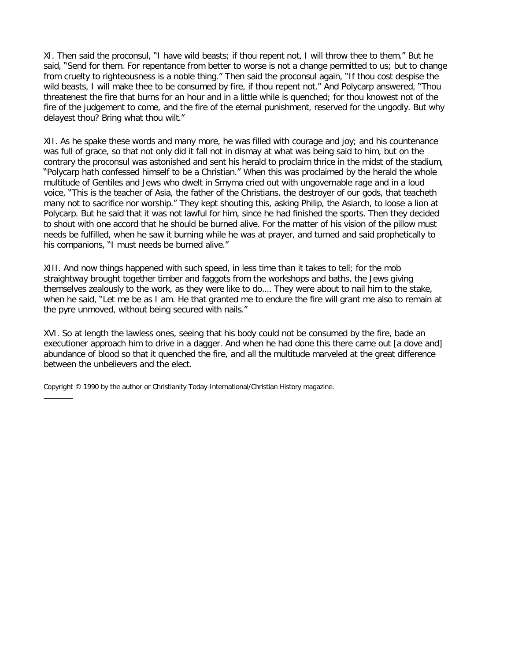XI. Then said the proconsul, "I have wild beasts; if thou repent not, I will throw thee to them." But he said, "Send for them. For repentance from better to worse is not a change permitted to us; but to change from cruelty to righteousness is a noble thing." Then said the proconsul again, "If thou cost despise the wild beasts, I will make thee to be consumed by fire, if thou repent not." And Polycarp answered, "Thou threatenest the fire that burns for an hour and in a little while is quenched; for thou knowest not of the fire of the judgement to come, and the fire of the eternal punishment, reserved for the ungodly. But why delayest thou? Bring what thou wilt."

XII. As he spake these words and many more, he was filled with courage and joy; and his countenance was full of grace, so that not only did it fall not in dismay at what was being said to him, but on the contrary the proconsul was astonished and sent his herald to proclaim thrice in the midst of the stadium, "Polycarp hath confessed himself to be a Christian." When this was proclaimed by the herald the whole multitude of Gentiles and Jews who dwelt in Smyma cried out with ungovernable rage and in a loud voice, "This is the teacher of Asia, the father of the Christians, the destroyer of our gods, that teacheth many not to sacrifice nor worship." They kept shouting this, asking Philip, the Asiarch, to loose a lion at Polycarp. But he said that it was not lawful for him, since he had finished the sports. Then they decided to shout with one accord that he should be burned alive. For the matter of his vision of the pillow must needs be fulfilled, when he saw it burning while he was at prayer, and turned and said prophetically to his companions. "I must needs be burned alive."

XIII. And now things happened with such speed, in less time than it takes to tell; for the mob straightway brought together timber and faggots from the workshops and baths, the Jews giving themselves zealously to the work, as they were like to do.… They were about to nail him to the stake, when he said, "Let me be as I am. He that granted me to endure the fire will grant me also to remain at the pyre unmoved, without being secured with nails."

XVI. So at length the lawless ones, seeing that his body could not be consumed by the fire, bade an executioner approach him to drive in a dagger. And when he had done this there came out [a dove and] abundance of blood so that it quenched the fire, and all the multitude marveled at the great difference between the unbelievers and the elect.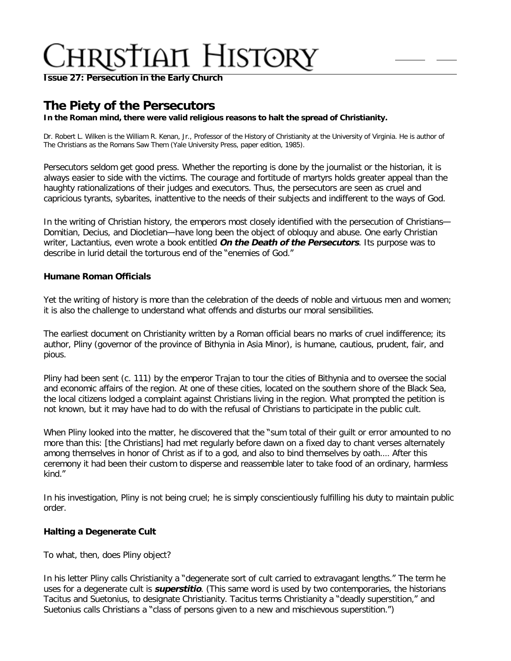# hristian History

**[Issue 27: Persecution in the Early Church](http://ctlstaging/ch/cdrom/collection.html?id=337)**

### **The Piety of the Persecutors**

**In the Roman mind, there were valid religious reasons to halt the spread of Christianity.**

Dr. Robert L. Wilken is the William R. Kenan, Jr., Professor of the History of Christianity at the University of Virginia. He is author of The Christians as the Romans Saw Them (Yale University Press, paper edition, 1985).

Persecutors seldom get good press. Whether the reporting is done by the journalist or the historian, it is always easier to side with the victims. The courage and fortitude of martyrs holds greater appeal than the haughty rationalizations of their judges and executors. Thus, the persecutors are seen as cruel and capricious tyrants, sybarites, inattentive to the needs of their subjects and indifferent to the ways of God.

In the writing of Christian history, the emperors most closely identified with the persecution of Christians— Domitian, Decius, and Diocletian—have long been the object of obloquy and abuse. One early Christian writer, Lactantius, even wrote a book entitled **On the Death of the Persecutors**. Its purpose was to describe in lurid detail the torturous end of the "enemies of God."

#### **Humane Roman Officials**

Yet the writing of history is more than the celebration of the deeds of noble and virtuous men and women; it is also the challenge to understand what offends and disturbs our moral sensibilities.

The earliest document on Christianity written by a Roman official bears no marks of cruel indifference; its author, Pliny (governor of the province of Bithynia in Asia Minor), is humane, cautious, prudent, fair, and pious.

Pliny had been sent (c. 111) by the emperor Trajan to tour the cities of Bithynia and to oversee the social and economic affairs of the region. At one of these cities, located on the southern shore of the Black Sea, the local citizens lodged a complaint against Christians living in the region. What prompted the petition is not known, but it may have had to do with the refusal of Christians to participate in the public cult.

When Pliny looked into the matter, he discovered that the "sum total of their guilt or error amounted to no more than this: [the Christians] had met regularly before dawn on a fixed day to chant verses alternately among themselves in honor of Christ as if to a god, and also to bind themselves by oath.… After this ceremony it had been their custom to disperse and reassemble later to take food of an ordinary, harmless kind."

In his investigation, Pliny is not being cruel; he is simply conscientiously fulfilling his duty to maintain public order.

#### **Halting a Degenerate Cult**

To what, then, does Pliny object?

In his letter Pliny calls Christianity a "degenerate sort of cult carried to extravagant lengths." The term he uses for a degenerate cult is **superstitio**. (This same word is used by two contemporaries, the historians Tacitus and Suetonius, to designate Christianity. Tacitus terms Christianity a "deadly superstition," and Suetonius calls Christians a "class of persons given to a new and mischievous superstition.")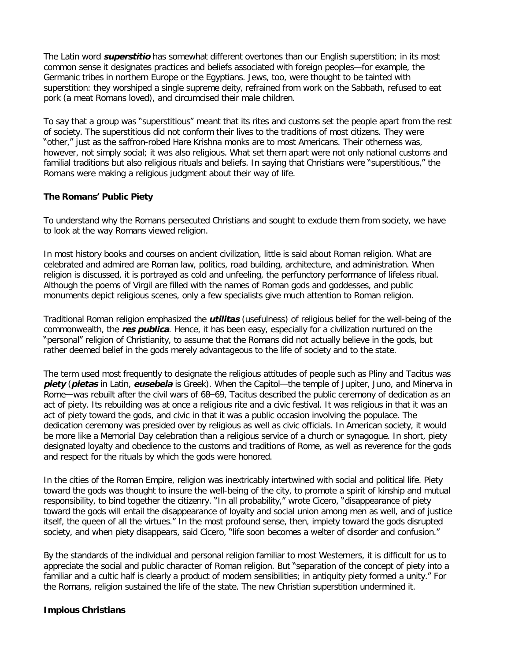The Latin word **superstitio** has somewhat different overtones than our English superstition; in its most common sense it designates practices and beliefs associated with foreign peoples—for example, the Germanic tribes in northern Europe or the Egyptians. Jews, too, were thought to be tainted with superstition: they worshiped a single supreme deity, refrained from work on the Sabbath, refused to eat pork (a meat Romans loved), and circumcised their male children.

To say that a group was "superstitious" meant that its rites and customs set the people apart from the rest of society. The superstitious did not conform their lives to the traditions of most citizens. They were "other," just as the saffron-robed Hare Krishna monks are to most Americans. Their otherness was, however, not simply social; it was also religious. What set them apart were not only national customs and familial traditions but also religious rituals and beliefs. In saying that Christians were "superstitious," the Romans were making a religious judgment about their way of life.

#### **The Romans' Public Piety**

To understand why the Romans persecuted Christians and sought to exclude them from society, we have to look at the way Romans viewed religion.

In most history books and courses on ancient civilization, little is said about Roman religion. What are celebrated and admired are Roman law, politics, road building, architecture, and administration. When religion is discussed, it is portrayed as cold and unfeeling, the perfunctory performance of lifeless ritual. Although the poems of Virgil are filled with the names of Roman gods and goddesses, and public monuments depict religious scenes, only a few specialists give much attention to Roman religion.

Traditional Roman religion emphasized the **utilitas** (usefulness) of religious belief for the well-being of the commonwealth, the **res publica**. Hence, it has been easy, especially for a civilization nurtured on the "personal" religion of Christianity, to assume that the Romans did not actually believe in the gods, but rather deemed belief in the gods merely advantageous to the life of society and to the state.

The term used most frequently to designate the religious attitudes of people such as Pliny and Tacitus was **piety** (**pietas** in Latin, **eusebeia** is Greek). When the Capitol—the temple of Jupiter, Juno, and Minerva in Rome—was rebuilt after the civil wars of 68–69, Tacitus described the public ceremony of dedication as an act of piety. Its rebuilding was at once a religious rite and a civic festival. It was religious in that it was an act of piety toward the gods, and civic in that it was a public occasion involving the populace. The dedication ceremony was presided over by religious as well as civic officials. In American society, it would be more like a Memorial Day celebration than a religious service of a church or synagogue. In short, piety designated loyalty and obedience to the customs and traditions of Rome, as well as reverence for the gods and respect for the rituals by which the gods were honored.

In the cities of the Roman Empire, religion was inextricably intertwined with social and political life. Piety toward the gods was thought to insure the well-being of the city, to promote a spirit of kinship and mutual responsibility, to bind together the citizenry. "In all probability," wrote Cicero, "disappearance of piety toward the gods will entail the disappearance of loyalty and social union among men as well, and of justice itself, the queen of all the virtues." In the most profound sense, then, impiety toward the gods disrupted society, and when piety disappears, said Cicero, "life soon becomes a welter of disorder and confusion."

By the standards of the individual and personal religion familiar to most Westerners, it is difficult for us to appreciate the social and public character of Roman religion. But "separation of the concept of piety into a familiar and a cultic half is clearly a product of modern sensibilities; in antiquity piety formed a unity." For the Romans, religion sustained the life of the state. The new Christian superstition undermined it.

#### **Impious Christians**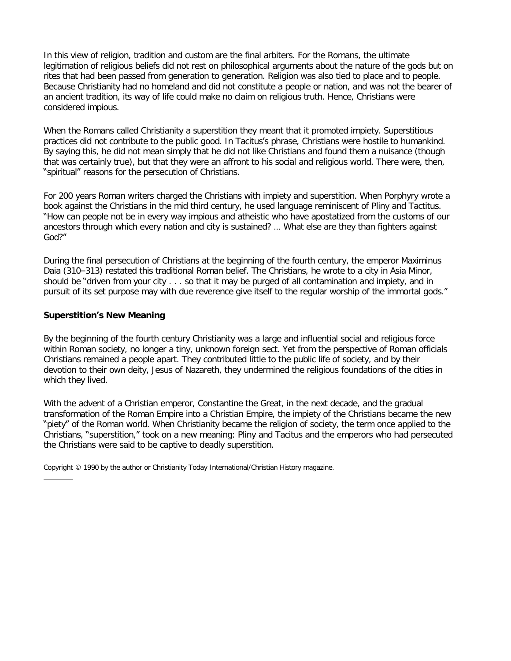In this view of religion, tradition and custom are the final arbiters. For the Romans, the ultimate legitimation of religious beliefs did not rest on philosophical arguments about the nature of the gods but on rites that had been passed from generation to generation. Religion was also tied to place and to people. Because Christianity had no homeland and did not constitute a people or nation, and was not the bearer of an ancient tradition, its way of life could make no claim on religious truth. Hence, Christians were considered impious.

When the Romans called Christianity a superstition they meant that it promoted impiety. Superstitious practices did not contribute to the public good. In Tacitus's phrase, Christians were hostile to humankind. By saying this, he did not mean simply that he did not like Christians and found them a nuisance (though that was certainly true), but that they were an affront to his social and religious world. There were, then, "spiritual" reasons for the persecution of Christians.

For 200 years Roman writers charged the Christians with impiety and superstition. When Porphyry wrote a book against the Christians in the mid third century, he used language reminiscent of Pliny and Tactitus. "How can people not be in every way impious and atheistic who have apostatized from the customs of our ancestors through which every nation and city is sustained? … What else are they than fighters against God?"

During the final persecution of Christians at the beginning of the fourth century, the emperor Maximinus Daia (310–313) restated this traditional Roman belief. The Christians, he wrote to a city in Asia Minor, should be "driven from your city . . . so that it may be purged of all contamination and impiety, and in pursuit of its set purpose may with due reverence give itself to the regular worship of the immortal gods."

#### **Superstition's New Meaning**

By the beginning of the fourth century Christianity was a large and influential social and religious force within Roman society, no longer a tiny, unknown foreign sect. Yet from the perspective of Roman officials Christians remained a people apart. They contributed little to the public life of society, and by their devotion to their own deity, Jesus of Nazareth, they undermined the religious foundations of the cities in which they lived.

With the advent of a Christian emperor, Constantine the Great, in the next decade, and the gradual transformation of the Roman Empire into a Christian Empire, the impiety of the Christians became the new "piety" of the Roman world. When Christianity became the religion of society, the term once applied to the Christians, "superstition," took on a new meaning: Pliny and Tacitus and the emperors who had persecuted the Christians were said to be captive to deadly superstition.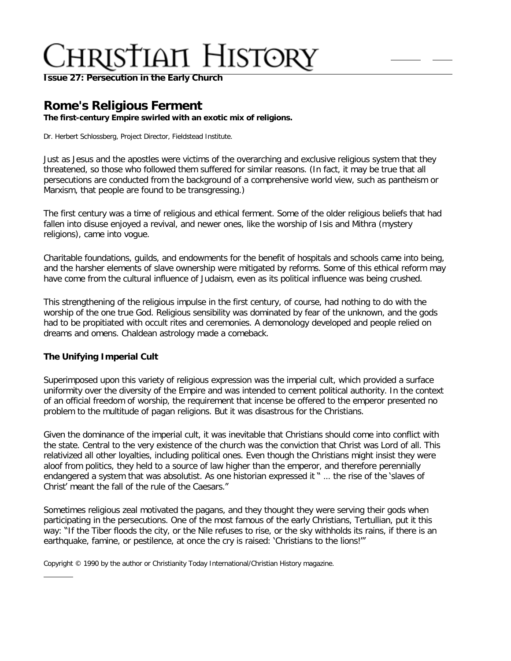# hristian Histor

**[Issue 27: Persecution in the Early Church](http://ctlstaging/ch/cdrom/collection.html?id=337)**

### **Rome's Religious Ferment**

**The first-century Empire swirled with an exotic mix of religions.**

Dr. Herbert Schlossberg, Project Director, Fieldstead Institute.

Just as Jesus and the apostles were victims of the overarching and exclusive religious system that they threatened, so those who followed them suffered for similar reasons. (In fact, it may be true that all persecutions are conducted from the background of a comprehensive world view, such as pantheism or Marxism, that people are found to be transgressing.)

The first century was a time of religious and ethical ferment. Some of the older religious beliefs that had fallen into disuse enjoyed a revival, and newer ones, like the worship of Isis and Mithra (mystery religions), came into vogue.

Charitable foundations, guilds, and endowments for the benefit of hospitals and schools came into being, and the harsher elements of slave ownership were mitigated by reforms. Some of this ethical reform may have come from the cultural influence of Judaism, even as its political influence was being crushed.

This strengthening of the religious impulse in the first century, of course, had nothing to do with the worship of the one true God. Religious sensibility was dominated by fear of the unknown, and the gods had to be propitiated with occult rites and ceremonies. A demonology developed and people relied on dreams and omens. Chaldean astrology made a comeback.

#### **The Unifying Imperial Cult**

Superimposed upon this variety of religious expression was the imperial cult, which provided a surface uniformity over the diversity of the Empire and was intended to cement political authority. In the context of an official freedom of worship, the requirement that incense be offered to the emperor presented no problem to the multitude of pagan religions. But it was disastrous for the Christians.

Given the dominance of the imperial cult, it was inevitable that Christians should come into conflict with the state. Central to the very existence of the church was the conviction that Christ was Lord of all. This relativized all other loyalties, including political ones. Even though the Christians might insist they were aloof from politics, they held to a source of law higher than the emperor, and therefore perennially endangered a system that was absolutist. As one historian expressed it " … the rise of the 'slaves of Christ' meant the fall of the rule of the Caesars."

Sometimes religious zeal motivated the pagans, and they thought they were serving their gods when participating in the persecutions. One of the most famous of the early Christians, Tertullian, put it this way: "If the Tiber floods the city, or the Nile refuses to rise, or the sky withholds its rains, if there is an earthquake, famine, or pestilence, at once the cry is raised: 'Christians to the lions!'"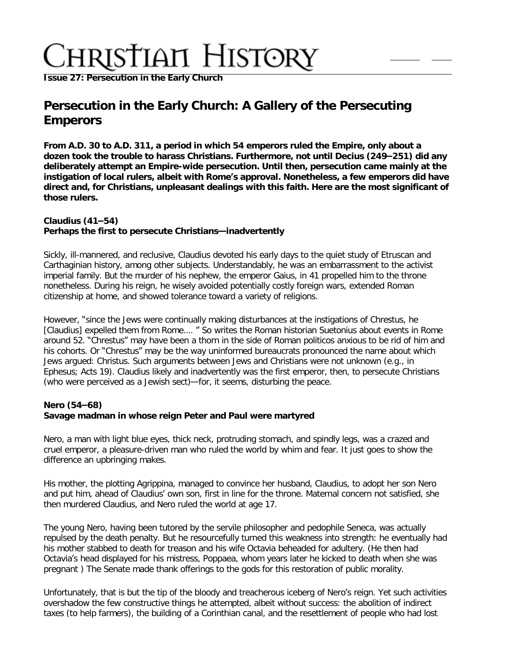## hristian History

**[Issue 27: Persecution in the Early Church](http://ctlstaging/ch/cdrom/collection.html?id=337)**

### **Persecution in the Early Church: A Gallery of the Persecuting Emperors**

**From A.D. 30 to A.D. 311, a period in which 54 emperors ruled the Empire, only about a dozen took the trouble to harass Christians. Furthermore, not until Decius (249–251) did any deliberately attempt an Empire-wide persecution. Until then, persecution came mainly at the instigation of local rulers, albeit with Rome's approval. Nonetheless, a few emperors did have direct and, for Christians, unpleasant dealings with this faith. Here are the most significant of those rulers.** 

#### **Claudius (41–54)**

#### **Perhaps the first to persecute Christians—inadvertently**

Sickly, ill-mannered, and reclusive, Claudius devoted his early days to the quiet study of Etruscan and Carthaginian history, among other subjects. Understandably, he was an embarrassment to the activist imperial family. But the murder of his nephew, the emperor Gaius, in 41 propelled him to the throne nonetheless. During his reign, he wisely avoided potentially costly foreign wars, extended Roman citizenship at home, and showed tolerance toward a variety of religions.

However, "since the Jews were continually making disturbances at the instigations of Chrestus, he [Claudius] expelled them from Rome.… " So writes the Roman historian Suetonius about events in Rome around 52. "Chrestus" may have been a thorn in the side of Roman politicos anxious to be rid of him and his cohorts. Or "Chrestus" may be the way uninformed bureaucrats pronounced the name about which Jews argued: Christus. Such arguments between Jews and Christians were not unknown (e.g., in Ephesus; Acts 19). Claudius likely and inadvertently was the first emperor, then, to persecute Christians (who were perceived as a Jewish sect)—for, it seems, disturbing the peace.

#### **Nero (54–68) Savage madman in whose reign Peter and Paul were martyred**

Nero, a man with light blue eyes, thick neck, protruding stomach, and spindly legs, was a crazed and cruel emperor, a pleasure-driven man who ruled the world by whim and fear. It just goes to show the difference an upbringing makes.

His mother, the plotting Agrippina, managed to convince her husband, Claudius, to adopt her son Nero and put him, ahead of Claudius' own son, first in line for the throne. Maternal concern not satisfied, she then murdered Claudius, and Nero ruled the world at age 17.

The young Nero, having been tutored by the servile philosopher and pedophile Seneca, was actually repulsed by the death penalty. But he resourcefully turned this weakness into strength: he eventually had his mother stabbed to death for treason and his wife Octavia beheaded for adultery. (He then had Octavia's head displayed for his mistress, Poppaea, whom years later he kicked to death when she was pregnant ) The Senate made thank offerings to the gods for this restoration of public morality.

Unfortunately, that is but the tip of the bloody and treacherous iceberg of Nero's reign. Yet such activities overshadow the few constructive things he attempted, albeit without success: the abolition of indirect taxes (to help farmers), the building of a Corinthian canal, and the resettlement of people who had lost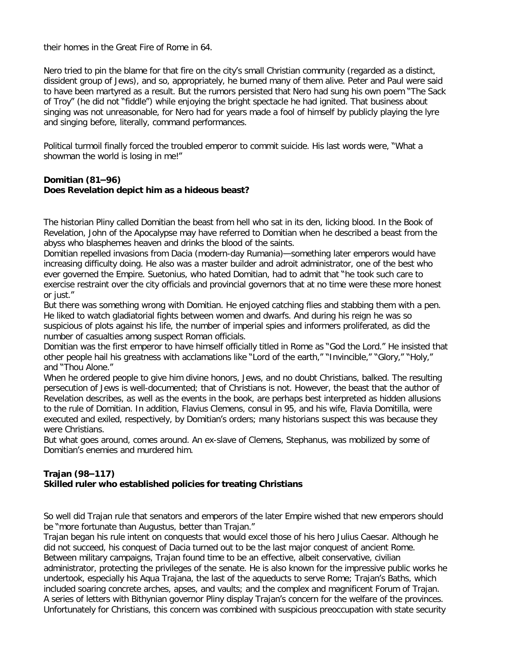their homes in the Great Fire of Rome in 64.

Nero tried to pin the blame for that fire on the city's small Christian community (regarded as a distinct, dissident group of Jews), and so, appropriately, he burned many of them alive. Peter and Paul were said to have been martyred as a result. But the rumors persisted that Nero had sung his own poem "The Sack of Troy" (he did not "fiddle") while enjoying the bright spectacle he had ignited. That business about singing was not unreasonable, for Nero had for years made a fool of himself by publicly playing the lyre and singing before, literally, command performances.

Political turmoil finally forced the troubled emperor to commit suicide. His last words were, "What a showman the world is losing in me!"

#### **Domitian (81–96)**

#### **Does Revelation depict him as a hideous beast?**

The historian Pliny called Domitian the beast from hell who sat in its den, licking blood. In the Book of Revelation, John of the Apocalypse may have referred to Domitian when he described a beast from the abyss who blasphemes heaven and drinks the blood of the saints.

Domitian repelled invasions from Dacia (modern-day Rumania)—something later emperors would have increasing difficulty doing. He also was a master builder and adroit administrator, one of the best who ever governed the Empire. Suetonius, who hated Domitian, had to admit that "he took such care to exercise restraint over the city officials and provincial governors that at no time were these more honest or just."

But there was something wrong with Domitian. He enjoyed catching flies and stabbing them with a pen. He liked to watch gladiatorial fights between women and dwarfs. And during his reign he was so suspicious of plots against his life, the number of imperial spies and informers proliferated, as did the number of casualties among suspect Roman officials.

Domitian was the first emperor to have himself officially titled in Rome as "God the Lord." He insisted that other people hail his greatness with acclamations like "Lord of the earth," "Invincible," "Glory," "Holy," and "Thou Alone."

When he ordered people to give him divine honors, Jews, and no doubt Christians, balked. The resulting persecution of Jews is well-documented; that of Christians is not. However, the beast that the author of Revelation describes, as well as the events in the book, are perhaps best interpreted as hidden allusions to the rule of Domitian. In addition, Flavius Clemens, consul in 95, and his wife, Flavia Domitilla, were executed and exiled, respectively, by Domitian's orders; many historians suspect this was because they were Christians.

But what goes around, comes around. An ex-slave of Clemens, Stephanus, was mobilized by some of Domitian's enemies and murdered him.

#### **Trajan (98–117) Skilled ruler who established policies for treating Christians**

So well did Trajan rule that senators and emperors of the later Empire wished that new emperors should be "more fortunate than Augustus, better than Trajan."

Trajan began his rule intent on conquests that would excel those of his hero Julius Caesar. Although he did not succeed, his conquest of Dacia turned out to be the last major conquest of ancient Rome. Between military campaigns, Trajan found time to be an effective, albeit conservative, civilian administrator, protecting the privileges of the senate. He is also known for the impressive public works he undertook, especially his Aqua Trajana, the last of the aqueducts to serve Rome; Trajan's Baths, which included soaring concrete arches, apses, and vaults; and the complex and magnificent Forum of Trajan. A series of letters with Bithynian governor Pliny display Trajan's concern for the welfare of the provinces. Unfortunately for Christians, this concern was combined with suspicious preoccupation with state security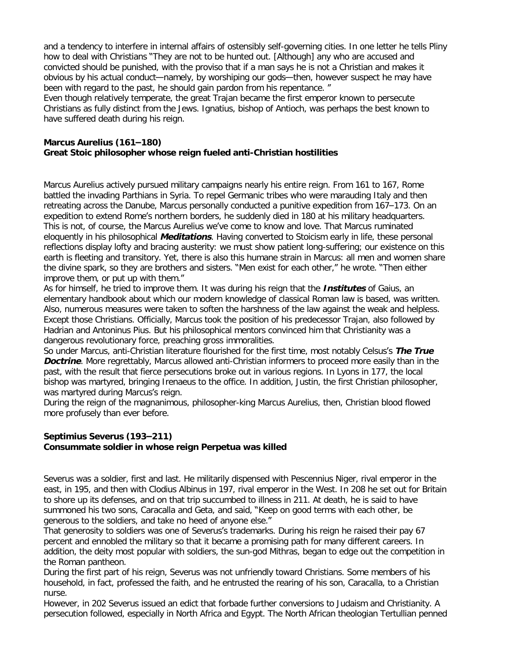and a tendency to interfere in internal affairs of ostensibly self-governing cities. In one letter he tells Pliny how to deal with Christians "They are not to be hunted out. [Although] any who are accused and convicted should be punished, with the proviso that if a man says he is not a Christian and makes it obvious by his actual conduct—namely, by worshiping our gods—then, however suspect he may have been with regard to the past, he should gain pardon from his repentance. "

Even though relatively temperate, the great Trajan became the first emperor known to persecute Christians as fully distinct from the Jews. Ignatius, bishop of Antioch, was perhaps the best known to have suffered death during his reign.

#### **Marcus Aurelius (161–180) Great Stoic philosopher whose reign fueled anti-Christian hostilities**

Marcus Aurelius actively pursued military campaigns nearly his entire reign. From 161 to 167, Rome battled the invading Parthians in Syria. To repel Germanic tribes who were marauding Italy and then retreating across the Danube, Marcus personally conducted a punitive expedition from 167–173. On an expedition to extend Rome's northern borders, he suddenly died in 180 at his military headquarters. This is not, of course, the Marcus Aurelius we've come to know and love. That Marcus ruminated eloquently in his philosophical **Meditations**. Having converted to Stoicism early in life, these personal reflections display lofty and bracing austerity: we must show patient long-suffering; our existence on this earth is fleeting and transitory. Yet, there is also this humane strain in Marcus: all men and women share the divine spark, so they are brothers and sisters. "Men exist for each other," he wrote. "Then either improve them, or put up with them."

As for himself, he tried to improve them. It was during his reign that the **Institutes** of Gaius, an elementary handbook about which our modern knowledge of classical Roman law is based, was written. Also, numerous measures were taken to soften the harshness of the law against the weak and helpless. Except those Christians. Officially, Marcus took the position of his predecessor Trajan, also followed by Hadrian and Antoninus Pius. But his philosophical mentors convinced him that Christianity was a dangerous revolutionary force, preaching gross immoralities.

So under Marcus, anti-Christian literature flourished for the first time, most notably Celsus's **The True Doctrine**. More regrettably, Marcus allowed anti-Christian informers to proceed more easily than in the past, with the result that fierce persecutions broke out in various regions. In Lyons in 177, the local bishop was martyred, bringing Irenaeus to the office. In addition, Justin, the first Christian philosopher, was martyred during Marcus's reign.

During the reign of the magnanimous, philosopher-king Marcus Aurelius, then, Christian blood flowed more profusely than ever before.

#### **Septimius Severus (193–211) Consummate soldier in whose reign Perpetua was killed**

Severus was a soldier, first and last. He militarily dispensed with Pescennius Niger, rival emperor in the east, in 195, and then with Clodius Albinus in 197, rival emperor in the West. In 208 he set out for Britain to shore up its defenses, and on that trip succumbed to illness in 211. At death, he is said to have summoned his two sons, Caracalla and Geta, and said, "Keep on good terms with each other, be generous to the soldiers, and take no heed of anyone else."

That generosity to soldiers was one of Severus's trademarks. During his reign he raised their pay 67 percent and ennobled the military so that it became a promising path for many different careers. In addition, the deity most popular with soldiers, the sun-god Mithras, began to edge out the competition in the Roman pantheon.

During the first part of his reign, Severus was not unfriendly toward Christians. Some members of his household, in fact, professed the faith, and he entrusted the rearing of his son, Caracalla, to a Christian nurse.

However, in 202 Severus issued an edict that forbade further conversions to Judaism and Christianity. A persecution followed, especially in North Africa and Egypt. The North African theologian Tertullian penned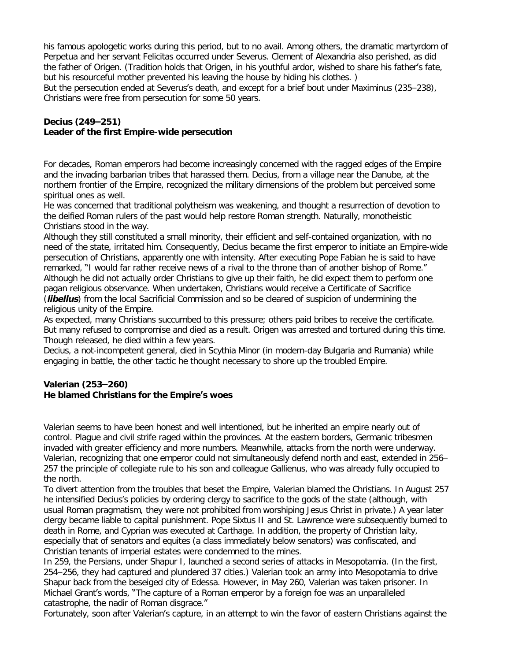his famous apologetic works during this period, but to no avail. Among others, the dramatic martyrdom of Perpetua and her servant Felicitas occurred under Severus. Clement of Alexandria also perished, as did the father of Origen. (Tradition holds that Origen, in his youthful ardor, wished to share his father's fate, but his resourceful mother prevented his leaving the house by hiding his clothes. )

But the persecution ended at Severus's death, and except for a brief bout under Maximinus (235–238), Christians were free from persecution for some 50 years.

#### **Decius (249–251) Leader of the first Empire-wide persecution**

For decades, Roman emperors had become increasingly concerned with the ragged edges of the Empire and the invading barbarian tribes that harassed them. Decius, from a village near the Danube, at the northern frontier of the Empire, recognized the military dimensions of the problem but perceived some spiritual ones as well.

He was concerned that traditional polytheism was weakening, and thought a resurrection of devotion to the deified Roman rulers of the past would help restore Roman strength. Naturally, monotheistic Christians stood in the way.

Although they still constituted a small minority, their efficient and self-contained organization, with no need of the state, irritated him. Consequently, Decius became the first emperor to initiate an Empire-wide persecution of Christians, apparently one with intensity. After executing Pope Fabian he is said to have remarked, "I would far rather receive news of a rival to the throne than of another bishop of Rome." Although he did not actually order Christians to give up their faith, he did expect them to perform one pagan religious observance. When undertaken, Christians would receive a Certificate of Sacrifice (**libellus**) from the local Sacrificial Commission and so be cleared of suspicion of undermining the religious unity of the Empire.

As expected, many Christians succumbed to this pressure; others paid bribes to receive the certificate. But many refused to compromise and died as a result. Origen was arrested and tortured during this time. Though released, he died within a few years.

Decius, a not-incompetent general, died in Scythia Minor (in modern-day Bulgaria and Rumania) while engaging in battle, the other tactic he thought necessary to shore up the troubled Empire.

#### **Valerian (253–260) He blamed Christians for the Empire's woes**

Valerian seems to have been honest and well intentioned, but he inherited an empire nearly out of control. Plague and civil strife raged within the provinces. At the eastern borders, Germanic tribesmen invaded with greater efficiency and more numbers. Meanwhile, attacks from the north were underway. Valerian, recognizing that one emperor could not simultaneously defend north and east, extended in 256– 257 the principle of collegiate rule to his son and colleague Gallienus, who was already fully occupied to the north.

To divert attention from the troubles that beset the Empire, Valerian blamed the Christians. In August 257 he intensified Decius's policies by ordering clergy to sacrifice to the gods of the state (although, with usual Roman pragmatism, they were not prohibited from worshiping Jesus Christ in private.) A year later clergy became liable to capital punishment. Pope Sixtus II and St. Lawrence were subsequently burned to death in Rome, and Cyprian was executed at Carthage. In addition, the property of Christian laity, especially that of senators and equites (a class immediately below senators) was confiscated, and Christian tenants of imperial estates were condemned to the mines.

In 259, the Persians, under Shapur I, launched a second series of attacks in Mesopotamia. (In the first, 254–256, they had captured and plundered 37 cities.) Valerian took an army into Mesopotamia to drive Shapur back from the beseiged city of Edessa. However, in May 260, Valerian was taken prisoner. In Michael Grant's words, "The capture of a Roman emperor by a foreign foe was an unparalleled catastrophe, the nadir of Roman disgrace."

Fortunately, soon after Valerian's capture, in an attempt to win the favor of eastern Christians against the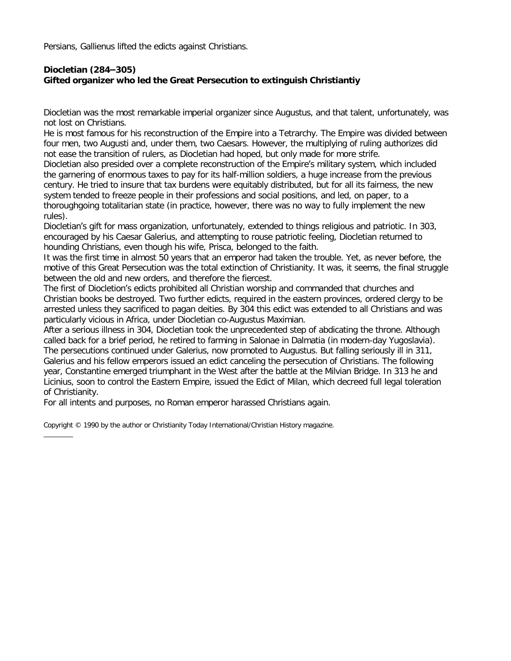Persians, Gallienus lifted the edicts against Christians.

#### **Diocletian (284–305) Gifted organizer who led the Great Persecution to extinguish Christiantiy**

Diocletian was the most remarkable imperial organizer since Augustus, and that talent, unfortunately, was not lost on Christians.

He is most famous for his reconstruction of the Empire into a Tetrarchy. The Empire was divided between four men, two Augusti and, under them, two Caesars. However, the multiplying of ruling authorizes did not ease the transition of rulers, as Diocletian had hoped, but only made for more strife.

Diocletian also presided over a complete reconstruction of the Empire's military system, which included the garnering of enormous taxes to pay for its half-million soldiers, a huge increase from the previous century. He tried to insure that tax burdens were equitably distributed, but for all its fairness, the new system tended to freeze people in their professions and social positions, and led, on paper, to a thoroughgoing totalitarian state (in practice, however, there was no way to fully implement the new rules).

Diocletian's gift for mass organization, unfortunately, extended to things religious and patriotic. In 303, encouraged by his Caesar Galerius, and attempting to rouse patriotic feeling, Diocletian returned to hounding Christians, even though his wife, Prisca, belonged to the faith.

It was the first time in almost 50 years that an emperor had taken the trouble. Yet, as never before, the motive of this Great Persecution was the total extinction of Christianity. It was, it seems, the final struggle between the old and new orders, and therefore the fiercest.

The first of Diocletion's edicts prohibited all Christian worship and commanded that churches and Christian books be destroyed. Two further edicts, required in the eastern provinces, ordered clergy to be arrested unless they sacrificed to pagan deities. By 304 this edict was extended to all Christians and was particularly vicious in Africa, under Diocletian co-Augustus Maximian.

After a serious illness in 304, Diocletian took the unprecedented step of abdicating the throne. Although called back for a brief period, he retired to farming in Salonae in Dalmatia (in modern-day Yugoslavia). The persecutions continued under Galerius, now promoted to Augustus. But falling seriously ill in 311, Galerius and his fellow emperors issued an edict canceling the persecution of Christians. The following year, Constantine emerged triumphant in the West after the battle at the Milvian Bridge. In 313 he and Licinius, soon to control the Eastern Empire, issued the Edict of Milan, which decreed full legal toleration of Christianity.

For all intents and purposes, no Roman emperor harassed Christians again.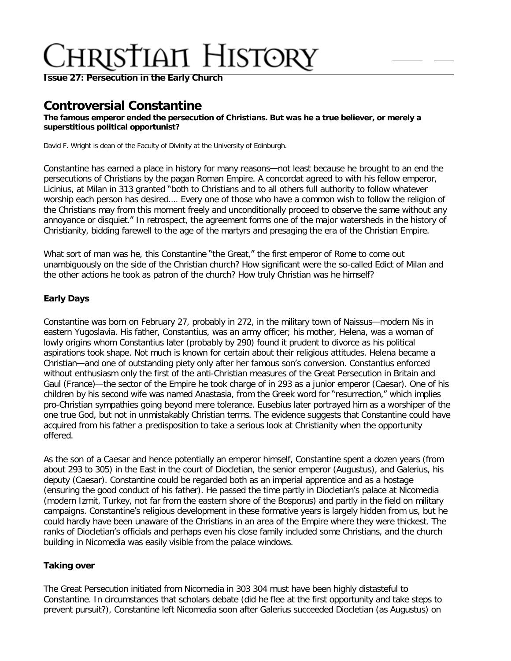# hristian History

**[Issue 27: Persecution in the Early Church](http://ctlstaging/ch/cdrom/collection.html?id=337)**

### **Controversial Constantine**

**The famous emperor ended the persecution of Christians. But was he a true believer, or merely a superstitious political opportunist?**

David F. Wright is dean of the Faculty of Divinity at the University of Edinburgh.

Constantine has earned a place in history for many reasons—not least because he brought to an end the persecutions of Christians by the pagan Roman Empire. A concordat agreed to with his fellow emperor, Licinius, at Milan in 313 granted "both to Christians and to all others full authority to follow whatever worship each person has desired.… Every one of those who have a common wish to follow the religion of the Christians may from this moment freely and unconditionally proceed to observe the same without any annoyance or disquiet." In retrospect, the agreement forms one of the major watersheds in the history of Christianity, bidding farewell to the age of the martyrs and presaging the era of the Christian Empire.

What sort of man was he, this Constantine "the Great," the first emperor of Rome to come out unambiguously on the side of the Christian church? How significant were the so-called Edict of Milan and the other actions he took as patron of the church? How truly Christian was he himself?

#### **Early Days**

Constantine was born on February 27, probably in 272, in the military town of Naissus—modern Nis in eastern Yugoslavia. His father, Constantius, was an army officer; his mother, Helena, was a woman of lowly origins whom Constantius later (probably by 290) found it prudent to divorce as his political aspirations took shape. Not much is known for certain about their religious attitudes. Helena became a Christian—and one of outstanding piety only after her famous son's conversion. Constantius enforced without enthusiasm only the first of the anti-Christian measures of the Great Persecution in Britain and Gaul (France)—the sector of the Empire he took charge of in 293 as a junior emperor (Caesar). One of his children by his second wife was named Anastasia, from the Greek word for "resurrection," which implies pro-Christian sympathies going beyond mere tolerance. Eusebius later portrayed him as a worshiper of the one true God, but not in unmistakably Christian terms. The evidence suggests that Constantine could have acquired from his father a predisposition to take a serious look at Christianity when the opportunity offered.

As the son of a Caesar and hence potentially an emperor himself, Constantine spent a dozen years (from about 293 to 305) in the East in the court of Diocletian, the senior emperor (Augustus), and Galerius, his deputy (Caesar). Constantine could be regarded both as an imperial apprentice and as a hostage (ensuring the good conduct of his father). He passed the time partly in Diocletian's palace at Nicomedia (modern Izmit, Turkey, not far from the eastern shore of the Bosporus) and partly in the field on military campaigns. Constantine's religious development in these formative years is largely hidden from us, but he could hardly have been unaware of the Christians in an area of the Empire where they were thickest. The ranks of Diocletian's officials and perhaps even his close family included some Christians, and the church building in Nicomedia was easily visible from the palace windows.

#### **Taking over**

The Great Persecution initiated from Nicomedia in 303 304 must have been highly distasteful to Constantine. In circumstances that scholars debate (did he flee at the first opportunity and take steps to prevent pursuit?), Constantine left Nicomedia soon after Galerius succeeded Diocletian (as Augustus) on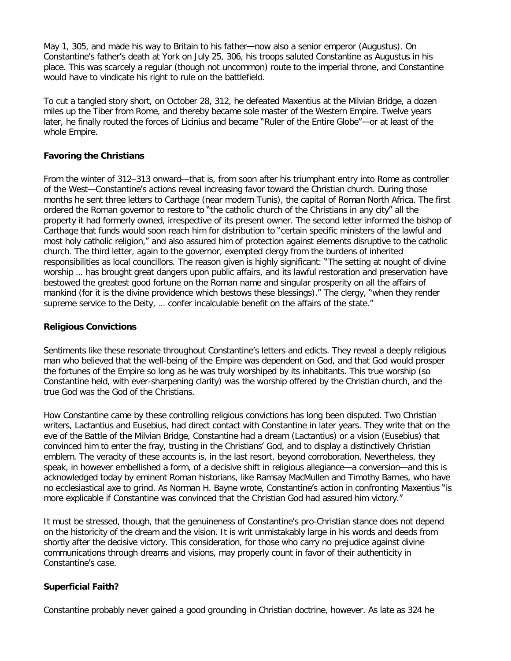May 1, 305, and made his way to Britain to his father—now also a senior emperor (Augustus). On Constantine's father's death at York on July 25, 306, his troops saluted Constantine as Augustus in his place. This was scarcely a regular (though not uncommon) route to the imperial throne, and Constantine would have to vindicate his right to rule on the battlefield.

To cut a tangled story short, on October 28, 312, he defeated Maxentius at the Milvian Bridge, a dozen miles up the Tiber from Rome, and thereby became sole master of the Western Empire. Twelve years later, he finally routed the forces of Licinius and became "Ruler of the Entire Globe"—or at least of the whole Empire.

#### **Favoring the Christians**

From the winter of 312–313 onward—that is, from soon after his triumphant entry into Rome as controller of the West—Constantine's actions reveal increasing favor toward the Christian church. During those months he sent three letters to Carthage (near modern Tunis), the capital of Roman North Africa. The first ordered the Roman governor to restore to "the catholic church of the Christians in any city" all the property it had formerly owned, irrespective of its present owner. The second letter informed the bishop of Carthage that funds would soon reach him for distribution to "certain specific ministers of the lawful and most holy catholic religion," and also assured him of protection against elements disruptive to the catholic church. The third letter, again to the governor, exempted clergy from the burdens of inherited responsibilities as local councillors. The reason given is highly significant: "The setting at nought of divine worship … has brought great dangers upon public affairs, and its lawful restoration and preservation have bestowed the greatest good fortune on the Roman name and singular prosperity on all the affairs of mankind (for it is the divine providence which bestows these blessings)." The clergy, "when they render supreme service to the Deity, ... confer incalculable benefit on the affairs of the state."

#### **Religious Convictions**

Sentiments like these resonate throughout Constantine's letters and edicts. They reveal a deeply religious man who believed that the well-being of the Empire was dependent on God, and that God would prosper the fortunes of the Empire so long as he was truly worshiped by its inhabitants. This true worship (so Constantine held, with ever-sharpening clarity) was the worship offered by the Christian church, and the true God was the God of the Christians.

How Constantine came by these controlling religious convictions has long been disputed. Two Christian writers, Lactantius and Eusebius, had direct contact with Constantine in later years. They write that on the eve of the Battle of the Milvian Bridge, Constantine had a dream (Lactantius) or a vision (Eusebius) that convinced him to enter the fray, trusting in the Christians' God, and to display a distinctively Christian emblem. The veracity of these accounts is, in the last resort, beyond corroboration. Nevertheless, they speak, in however embellished a form, of a decisive shift in religious allegiance—a conversion—and this is acknowledged today by eminent Roman historians, like Ramsay MacMullen and Timothy Barnes, who have no ecclesiastical axe to grind. As Norman H. Bayne wrote, Constantine's action in confronting Maxentius "is more explicable if Constantine was convinced that the Christian God had assured him victory."

It must be stressed, though, that the genuineness of Constantine's pro-Christian stance does not depend on the historicity of the dream and the vision. It is writ unmistakably large in his words and deeds from shortly after the decisive victory. This consideration, for those who carry no prejudice against divine communications through dreams and visions, may properly count in favor of their authenticity in Constantine's case.

#### **Superficial Faith?**

Constantine probably never gained a good grounding in Christian doctrine, however. As late as 324 he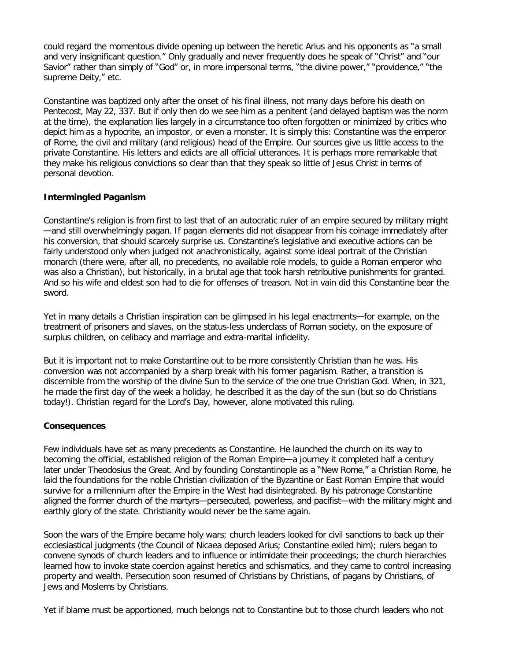could regard the momentous divide opening up between the heretic Arius and his opponents as "a small and very insignificant question." Only gradually and never frequently does he speak of "Christ" and "our Savior" rather than simply of "God" or, in more impersonal terms, "the divine power," "providence," "the supreme Deity," etc.

Constantine was baptized only after the onset of his final illness, not many days before his death on Pentecost, May 22, 337. But if only then do we see him as a penitent (and delayed baptism was the norm at the time), the explanation lies largely in a circumstance too often forgotten or minimized by critics who depict him as a hypocrite, an impostor, or even a monster. It is simply this: Constantine was the emperor of Rome, the civil and military (and religious) head of the Empire. Our sources give us little access to the private Constantine. His letters and edicts are all official utterances. It is perhaps more remarkable that they make his religious convictions so clear than that they speak so little of Jesus Christ in terms of personal devotion.

#### **Intermingled Paganism**

Constantine's religion is from first to last that of an autocratic ruler of an empire secured by military might —and still overwhelmingly pagan. If pagan elements did not disappear from his coinage immediately after his conversion, that should scarcely surprise us. Constantine's legislative and executive actions can be fairly understood only when judged not anachronistically, against some ideal portrait of the Christian monarch (there were, after all, no precedents, no available role models, to guide a Roman emperor who was also a Christian), but historically, in a brutal age that took harsh retributive punishments for granted. And so his wife and eldest son had to die for offenses of treason. Not in vain did this Constantine bear the sword.

Yet in many details a Christian inspiration can be glimpsed in his legal enactments—for example, on the treatment of prisoners and slaves, on the status-less underclass of Roman society, on the exposure of surplus children, on celibacy and marriage and extra-marital infidelity.

But it is important not to make Constantine out to be more consistently Christian than he was. His conversion was not accompanied by a sharp break with his former paganism. Rather, a transition is discernible from the worship of the divine Sun to the service of the one true Christian God. When, in 321, he made the first day of the week a holiday, he described it as the day of the sun (but so do Christians today!). Christian regard for the Lord's Day, however, alone motivated this ruling.

#### **Consequences**

Few individuals have set as many precedents as Constantine. He launched the church on its way to becoming the official, established religion of the Roman Empire—a journey it completed half a century later under Theodosius the Great. And by founding Constantinople as a "New Rome," a Christian Rome, he laid the foundations for the noble Christian civilization of the Byzantine or East Roman Empire that would survive for a millennium after the Empire in the West had disintegrated. By his patronage Constantine aligned the former church of the martyrs—persecuted, powerless, and pacifist—with the military might and earthly glory of the state. Christianity would never be the same again.

Soon the wars of the Empire became holy wars; church leaders looked for civil sanctions to back up their ecclesiastical judgments (the Council of Nicaea deposed Arius; Constantine exiled him); rulers began to convene synods of church leaders and to influence or intimidate their proceedings; the church hierarchies learned how to invoke state coercion against heretics and schismatics, and they came to control increasing property and wealth. Persecution soon resumed of Christians by Christians, of pagans by Christians, of Jews and Moslems by Christians.

Yet if blame must be apportioned, much belongs not to Constantine but to those church leaders who not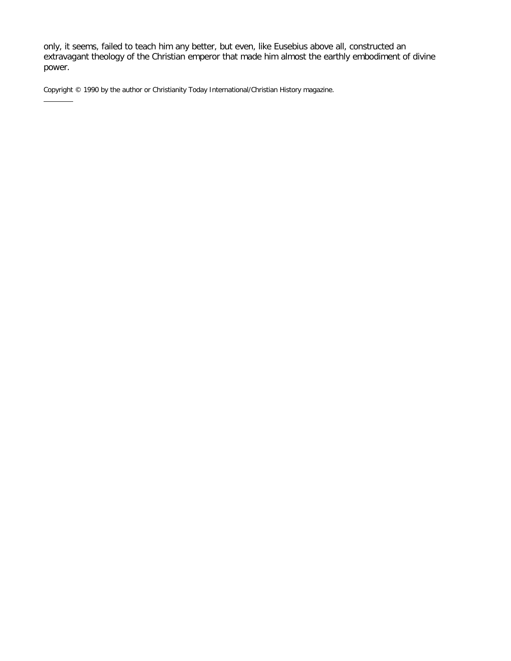only, it seems, failed to teach him any better, but even, like Eusebius above all, constructed an extravagant theology of the Christian emperor that made him almost the earthly embodiment of divine power.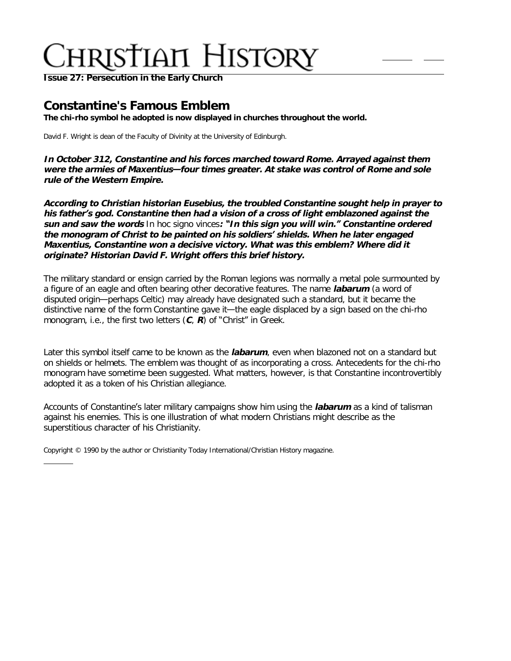# hristian Histor

**[Issue 27: Persecution in the Early Church](http://ctlstaging/ch/cdrom/collection.html?id=337)**

### **Constantine's Famous Emblem**

**The chi-rho symbol he adopted is now displayed in churches throughout the world.**

David F. Wright is dean of the Faculty of Divinity at the University of Edinburgh.

**In October 312, Constantine and his forces marched toward Rome. Arrayed against them were the armies of Maxentius—four times greater. At stake was control of Rome and sole rule of the Western Empire.** 

**According to Christian historian Eusebius, the troubled Constantine sought help in prayer to his father's god. Constantine then had a vision of a cross of light emblazoned against the sun and saw the words** In hoc signo vinces**: "In this sign you will win." Constantine ordered the monogram of Christ to be painted on his soldiers' shields. When he later engaged Maxentius, Constantine won a decisive victory. What was this emblem? Where did it originate? Historian David F. Wright offers this brief history.** 

The military standard or ensign carried by the Roman legions was normally a metal pole surmounted by a figure of an eagle and often bearing other decorative features. The name **labarum** (a word of disputed origin—perhaps Celtic) may already have designated such a standard, but it became the distinctive name of the form Constantine gave it—the eagle displaced by a sign based on the chi-rho monogram, i.e., the first two letters (**C**, **R**) of "Christ" in Greek.

Later this symbol itself came to be known as the **labarum**, even when blazoned not on a standard but on shields or helmets. The emblem was thought of as incorporating a cross. Antecedents for the chi-rho monogram have sometime been suggested. What matters, however, is that Constantine incontrovertibly adopted it as a token of his Christian allegiance.

Accounts of Constantine's later military campaigns show him using the **labarum** as a kind of talisman against his enemies. This is one illustration of what modern Christians might describe as the superstitious character of his Christianity.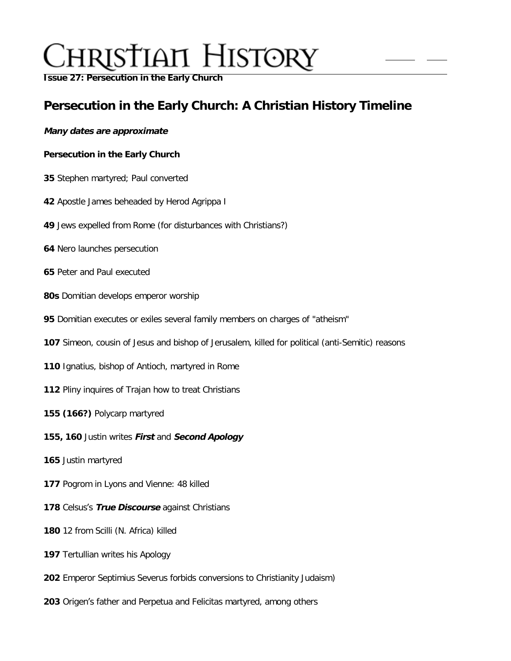# Christian History

**[Issue 27: Persecution in the Early Church](http://ctlstaging/ch/cdrom/collection.html?id=337)**

### **Persecution in the Early Church: A Christian History Timeline**

#### **Many dates are approximate**

#### **Persecution in the Early Church**

- Stephen martyred; Paul converted
- Apostle James beheaded by Herod Agrippa I
- Jews expelled from Rome (for disturbances with Christians?)
- Nero launches persecution
- Peter and Paul executed
- **80s** Domitian develops emperor worship
- Domitian executes or exiles several family members on charges of "atheism"
- Simeon, cousin of Jesus and bishop of Jerusalem, killed for political (anti-Semitic) reasons
- Ignatius, bishop of Antioch, martyred in Rome
- Pliny inquires of Trajan how to treat Christians
- **155 (166?)** Polycarp martyred
- **155, 160** Justin writes **First** and **Second Apology**
- Justin martyred
- Pogrom in Lyons and Vienne: 48 killed
- Celsus's **True Discourse** against Christians
- 12 from Scilli (N. Africa) killed
- Tertullian writes his Apology
- Emperor Septimius Severus forbids conversions to Christianity Judaism)
- Origen's father and Perpetua and Felicitas martyred, among others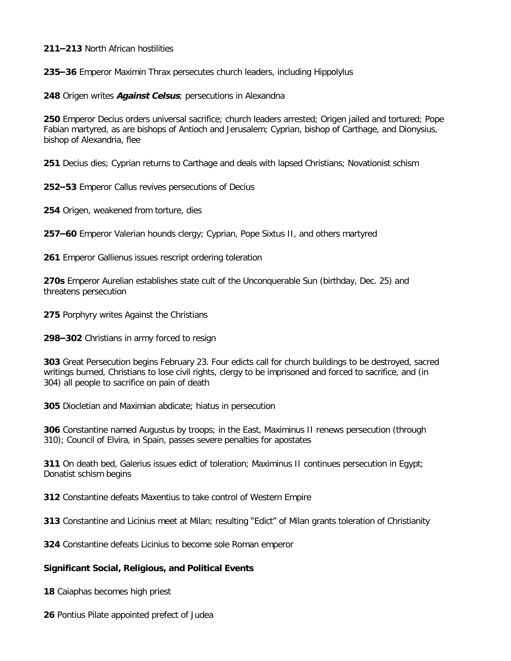#### **–213** North African hostilities

**–36** Emperor Maximin Thrax persecutes church leaders, including Hippolylus

Origen writes **Against Celsus**; persecutions in Alexandna

 Emperor Decius orders universal sacrifice; church leaders arrested; Origen jailed and tortured; Pope Fabian martyred, as are bishops of Antioch and Jerusalem; Cyprian, bishop of Carthage, and Dionysius, bishop of Alexandria, flee

Decius dies; Cyprian returns to Carthage and deals with lapsed Christians; Novationist schism

**–53** Emperor Callus revives persecutions of Decius

Origen, weakened from torture, dies

**–60** Emperor Valerian hounds clergy; Cyprian, Pope Sixtus II, and others martyred

Emperor Gallienus issues rescript ordering toleration

**270s** Emperor Aurelian establishes state cult of the Unconquerable Sun (birthday, Dec. 25) and threatens persecution

Porphyry writes Against the Christians

**–302** Christians in army forced to resign

 Great Persecution begins February 23. Four edicts call for church buildings to be destroyed, sacred writings burned, Christians to lose civil rights, clergy to be imprisoned and forced to sacrifice, and (in 304) all people to sacrifice on pain of death

Diocletian and Maximian abdicate; hiatus in persecution

 Constantine named Augustus by troops; in the East, Maximinus II renews persecution (through 310); Council of Elvira, in Spain, passes severe penalties for apostates

 On death bed, Galerius issues edict of toleration; Maximinus II continues persecution in Egypt; Donatist schism begins

Constantine defeats Maxentius to take control of Western Empire

Constantine and Licinius meet at Milan; resulting "Edict" of Milan grants toleration of Christianity

Constantine defeats Licinius to become sole Roman emperor

#### **Significant Social, Religious, and Political Events**

Caiaphas becomes high priest

Pontius Pilate appointed prefect of Judea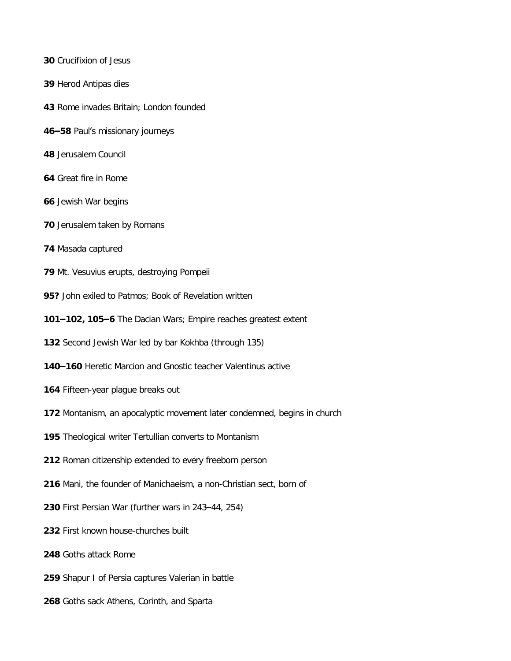- Crucifixion of Jesus
- Herod Antipas dies
- Rome invades Britain; London founded
- **–58** Paul's missionary journeys
- Jerusalem Council
- Great fire in Rome
- Jewish War begins
- Jerusalem taken by Romans
- Masada captured
- Mt. Vesuvius erupts, destroying Pompeii
- **95?** John exiled to Patmos; Book of Revelation written
- **–102, 105–6** The Dacian Wars; Empire reaches greatest extent
- Second Jewish War led by bar Kokhba (through 135)
- **–160** Heretic Marcion and Gnostic teacher Valentinus active
- Fifteen-year plague breaks out
- Montanism, an apocalyptic movement later condemned, begins in church
- Theological writer Tertullian converts to Montanism
- Roman citizenship extended to every freeborn person
- Mani, the founder of Manichaeism, a non-Christian sect, born of
- First Persian War (further wars in 243–44, 254)
- First known house-churches built
- Goths attack Rome
- Shapur I of Persia captures Valerian in battle
- Goths sack Athens, Corinth, and Sparta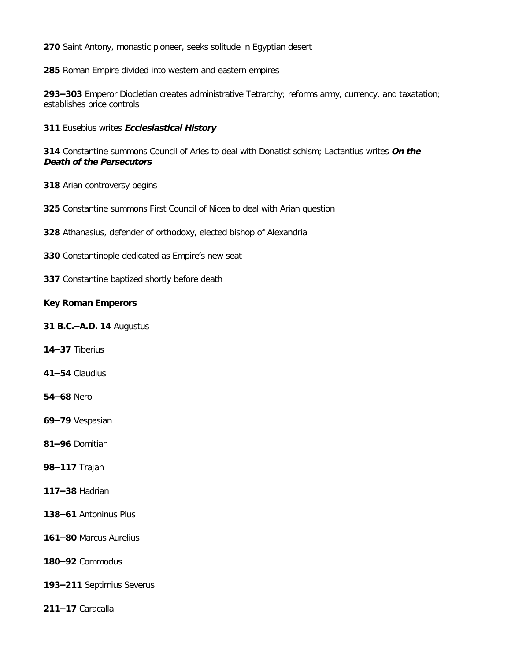Saint Antony, monastic pioneer, seeks solitude in Egyptian desert

Roman Empire divided into western and eastern empires

**–303** Emperor Diocletian creates administrative Tetrarchy; reforms army, currency, and taxatation; establishes price controls

Eusebius writes **Ecclesiastical History**

 Constantine summons Council of Arles to deal with Donatist schism; Lactantius writes **On the Death of the Persecutors** 

Arian controversy begins

Constantine summons First Council of Nicea to deal with Arian question

Athanasius, defender of orthodoxy, elected bishop of Alexandria

- Constantinople dedicated as Empire's new seat
- Constantine baptized shortly before death

#### **Key Roman Emperors**

#### **31 B.C.–A.D. 14** Augustus

- **–37** Tiberius
- **–54** Claudius
- **–68** Nero
- **–79** Vespasian
- **–96** Domitian
- **–117** Trajan
- **–38** Hadrian
- **–61** Antoninus Pius
- **–80** Marcus Aurelius
- **–92** Commodus
- **–211** Septimius Severus
- **–17** Caracalla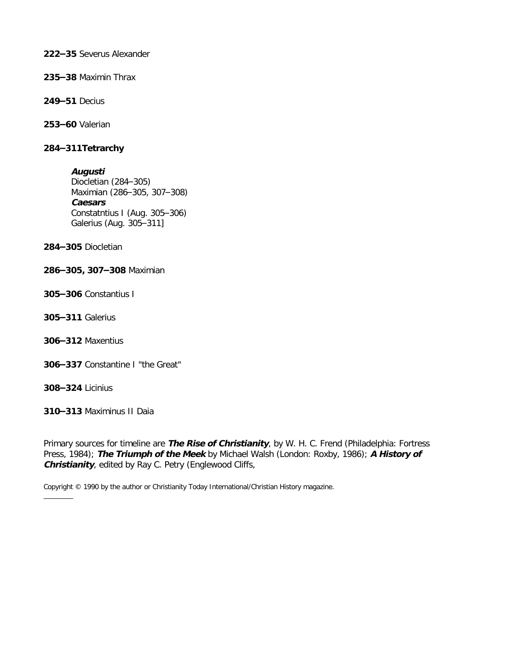**222–35** Severus Alexander

**235–38** Maximin Thrax

**249–51** Decius

**253–60** Valerian

#### **284–311Tetrarchy**

**Augusti** Diocletian (284–305) Maximian (286–305, 307–308) **Caesars** Constatntius I (Aug. 305–306) Galerius (Aug. 305–311]

**284–305** Diocletian

**286–305, 307–308** Maximian

**305–306** Constantius I

**305–311** Galerius

**306–312** Maxentius

**306–337** Constantine I "the Great"

**308–324** Licinius

**310–313** Maximinus II Daia

Primary sources for timeline are **The Rise of Christianity**, by W. H. C. Frend (Philadelphia: Fortress Press, 1984); **The Triumph of the Meek** by Michael Walsh (London: Roxby, 1986); **A History of Christianity**, edited by Ray C. Petry (Englewood Cliffs,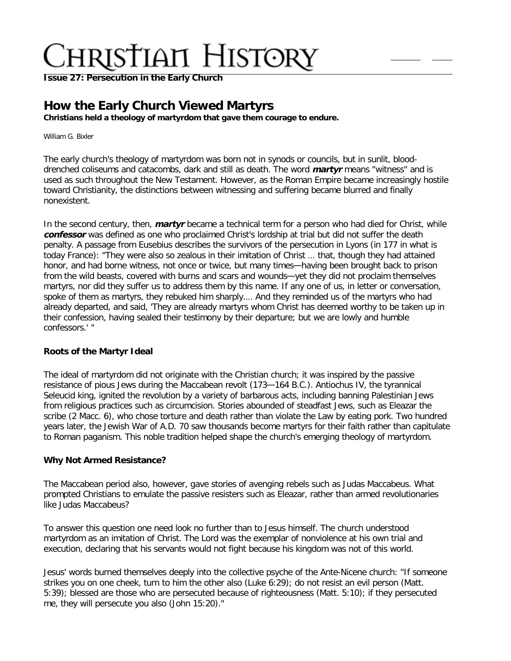# hristian Histor

**[Issue 27: Persecution in the Early Church](http://ctlstaging/ch/cdrom/collection.html?id=337)**

### **How the Early Church Viewed Martyrs**

**Christians held a theology of martyrdom that gave them courage to endure.**

William G. Bixler

The early church's theology of martyrdom was born not in synods or councils, but in sunlit, blooddrenched coliseums and catacombs, dark and still as death. The word **martyr** means "witness" and is used as such throughout the New Testament. However, as the Roman Empire became increasingly hostile toward Christianity, the distinctions between witnessing and suffering became blurred and finally nonexistent.

In the second century, then, **martyr** became a technical term for a person who had died for Christ, while **confessor** was defined as one who proclaimed Christ's lordship at trial but did not suffer the death penalty. A passage from Eusebius describes the survivors of the persecution in Lyons (in 177 in what is today France): "They were also so zealous in their imitation of Christ … that, though they had attained honor, and had borne witness, not once or twice, but many times—having been brought back to prison from the wild beasts, covered with burns and scars and wounds—yet they did not proclaim themselves martyrs, nor did they suffer us to address them by this name. If any one of us, in letter or conversation, spoke of them as martyrs, they rebuked him sharply.… And they reminded us of the martyrs who had already departed, and said, 'They are already martyrs whom Christ has deemed worthy to be taken up in their confession, having sealed their testimony by their departure; but we are lowly and humble confessors.' "

#### **Roots of the Martyr Ideal**

The ideal of martyrdom did not originate with the Christian church; it was inspired by the passive resistance of pious Jews during the Maccabean revolt (173—164 B.C.). Antiochus IV, the tyrannical Seleucid king, ignited the revolution by a variety of barbarous acts, including banning Palestinian Jews from religious practices such as circumcision. Stories abounded of steadfast Jews, such as Eleazar the scribe (2 Macc. 6), who chose torture and death rather than violate the Law by eating pork. Two hundred years later, the Jewish War of A.D. 70 saw thousands become martyrs for their faith rather than capitulate to Roman paganism. This noble tradition helped shape the church's emerging theology of martyrdom.

#### **Why Not Armed Resistance?**

The Maccabean period also, however, gave stories of avenging rebels such as Judas Maccabeus. What prompted Christians to emulate the passive resisters such as Eleazar, rather than armed revolutionaries like Judas Maccabeus?

To answer this question one need look no further than to Jesus himself. The church understood martyrdom as an imitation of Christ. The Lord was the exemplar of nonviolence at his own trial and execution, declaring that his servants would not fight because his kingdom was not of this world.

Jesus' words burned themselves deeply into the collective psyche of the Ante-Nicene church: "If someone strikes you on one cheek, turn to him the other also (Luke 6:29); do not resist an evil person (Matt. 5:39); blessed are those who are persecuted because of righteousness (Matt. 5:10); if they persecuted me, they will persecute you also (John 15:20)."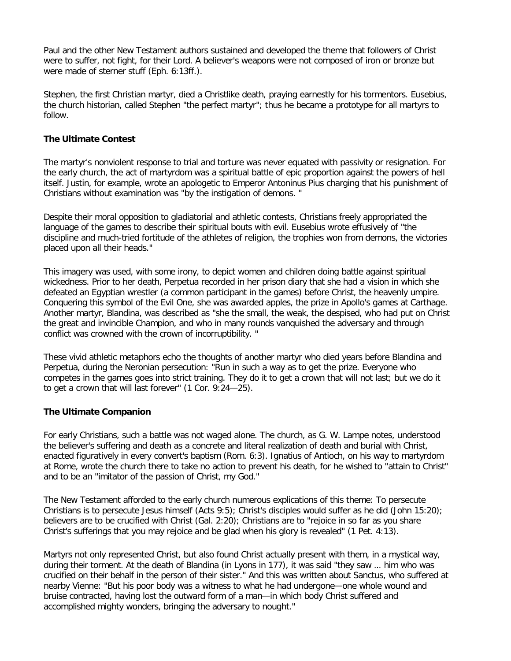Paul and the other New Testament authors sustained and developed the theme that followers of Christ were to suffer, not fight, for their Lord. A believer's weapons were not composed of iron or bronze but were made of sterner stuff (Eph. 6:13ff.).

Stephen, the first Christian martyr, died a Christlike death, praying earnestly for his tormentors. Eusebius, the church historian, called Stephen "the perfect martyr"; thus he became a prototype for all martyrs to follow.

#### **The Ultimate Contest**

The martyr's nonviolent response to trial and torture was never equated with passivity or resignation. For the early church, the act of martyrdom was a spiritual battle of epic proportion against the powers of hell itself. Justin, for example, wrote an apologetic to Emperor Antoninus Pius charging that his punishment of Christians without examination was "by the instigation of demons. "

Despite their moral opposition to gladiatorial and athletic contests, Christians freely appropriated the language of the games to describe their spiritual bouts with evil. Eusebius wrote effusively of "the discipline and much-tried fortitude of the athletes of religion, the trophies won from demons, the victories placed upon all their heads."

This imagery was used, with some irony, to depict women and children doing battle against spiritual wickedness. Prior to her death, Perpetua recorded in her prison diary that she had a vision in which she defeated an Egyptian wrestler (a common participant in the games) before Christ, the heavenly umpire. Conquering this symbol of the Evil One, she was awarded apples, the prize in Apollo's games at Carthage. Another martyr, Blandina, was described as "she the small, the weak, the despised, who had put on Christ the great and invincible Champion, and who in many rounds vanquished the adversary and through conflict was crowned with the crown of incorruptibility. "

These vivid athletic metaphors echo the thoughts of another martyr who died years before Blandina and Perpetua, during the Neronian persecution: "Run in such a way as to get the prize. Everyone who competes in the games goes into strict training. They do it to get a crown that will not last; but we do it to get a crown that will last forever" (1 Cor. 9:24—25).

#### **The Ultimate Companion**

For early Christians, such a battle was not waged alone. The church, as G. W. Lampe notes, understood the believer's suffering and death as a concrete and literal realization of death and burial with Christ, enacted figuratively in every convert's baptism (Rom. 6:3). Ignatius of Antioch, on his way to martyrdom at Rome, wrote the church there to take no action to prevent his death, for he wished to "attain to Christ" and to be an "imitator of the passion of Christ, my God."

The New Testament afforded to the early church numerous explications of this theme: To persecute Christians is to persecute Jesus himself (Acts 9:5); Christ's disciples would suffer as he did (John 15:20); believers are to be crucified with Christ (Gal. 2:20); Christians are to "rejoice in so far as you share Christ's sufferings that you may rejoice and be glad when his glory is revealed" (1 Pet. 4:13).

Martyrs not only represented Christ, but also found Christ actually present with them, in a mystical way, during their torment. At the death of Blandina (in Lyons in 177), it was said "they saw … him who was crucified on their behalf in the person of their sister." And this was written about Sanctus, who suffered at nearby Vienne: "But his poor body was a witness to what he had undergone—one whole wound and bruise contracted, having lost the outward form of a man—in which body Christ suffered and accomplished mighty wonders, bringing the adversary to nought."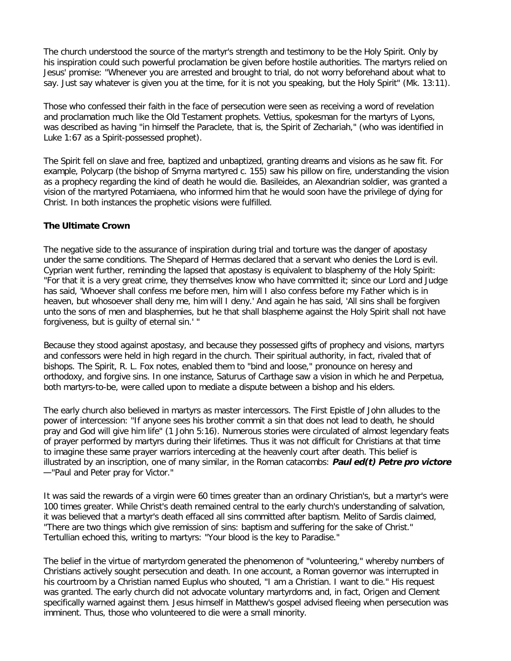The church understood the source of the martyr's strength and testimony to be the Holy Spirit. Only by his inspiration could such powerful proclamation be given before hostile authorities. The martyrs relied on Jesus' promise: "Whenever you are arrested and brought to trial, do not worry beforehand about what to say. Just say whatever is given you at the time, for it is not you speaking, but the Holy Spirit" (Mk. 13:11).

Those who confessed their faith in the face of persecution were seen as receiving a word of revelation and proclamation much like the Old Testament prophets. Vettius, spokesman for the martyrs of Lyons, was described as having "in himself the Paraclete, that is, the Spirit of Zechariah," (who was identified in Luke 1:67 as a Spirit-possessed prophet).

The Spirit fell on slave and free, baptized and unbaptized, granting dreams and visions as he saw fit. For example, Polycarp (the bishop of Smyrna martyred c. 155) saw his pillow on fire, understanding the vision as a prophecy regarding the kind of death he would die. Basileides, an Alexandrian soldier, was granted a vision of the martyred Potamiaena, who informed him that he would soon have the privilege of dying for Christ. In both instances the prophetic visions were fulfilled.

#### **The Ultimate Crown**

The negative side to the assurance of inspiration during trial and torture was the danger of apostasy under the same conditions. The Shepard of Hermas declared that a servant who denies the Lord is evil. Cyprian went further, reminding the lapsed that apostasy is equivalent to blasphemy of the Holy Spirit: "For that it is a very great crime, they themselves know who have committed it; since our Lord and Judge has said, 'Whoever shall confess me before men, him will I also confess before my Father which is in heaven, but whosoever shall deny me, him will I deny.' And again he has said, 'All sins shall be forgiven unto the sons of men and blasphemies, but he that shall blaspheme against the Holy Spirit shall not have forgiveness, but is guilty of eternal sin.' "

Because they stood against apostasy, and because they possessed gifts of prophecy and visions, martyrs and confessors were held in high regard in the church. Their spiritual authority, in fact, rivaled that of bishops. The Spirit, R. L. Fox notes, enabled them to "bind and loose," pronounce on heresy and orthodoxy, and forgive sins. In one instance, Saturus of Carthage saw a vision in which he and Perpetua, both martyrs-to-be, were called upon to mediate a dispute between a bishop and his elders.

The early church also believed in martyrs as master intercessors. The First Epistle of John alludes to the power of intercession: "If anyone sees his brother commit a sin that does not lead to death, he should pray and God will give him life" (1 John 5:16). Numerous stories were circulated of almost legendary feats of prayer performed by martyrs during their lifetimes. Thus it was not difficult for Christians at that time to imagine these same prayer warriors interceding at the heavenly court after death. This belief is illustrated by an inscription, one of many similar, in the Roman catacombs: **Paul ed(t) Petre pro victore** —"Paul and Peter pray for Victor."

It was said the rewards of a virgin were 60 times greater than an ordinary Christian's, but a martyr's were 100 times greater. While Christ's death remained central to the early church's understanding of salvation, it was believed that a martyr's death effaced all sins committed after baptism. Melito of Sardis claimed, "There are two things which give remission of sins: baptism and suffering for the sake of Christ." Tertullian echoed this, writing to martyrs: "Your blood is the key to Paradise."

The belief in the virtue of martyrdom generated the phenomenon of "volunteering," whereby numbers of Christians actively sought persecution and death. In one account, a Roman governor was interrupted in his courtroom by a Christian named Euplus who shouted, "I am a Christian. I want to die." His request was granted. The early church did not advocate voluntary martyrdoms and, in fact, Origen and Clement specifically warned against them. Jesus himself in Matthew's gospel advised fleeing when persecution was imminent. Thus, those who volunteered to die were a small minority.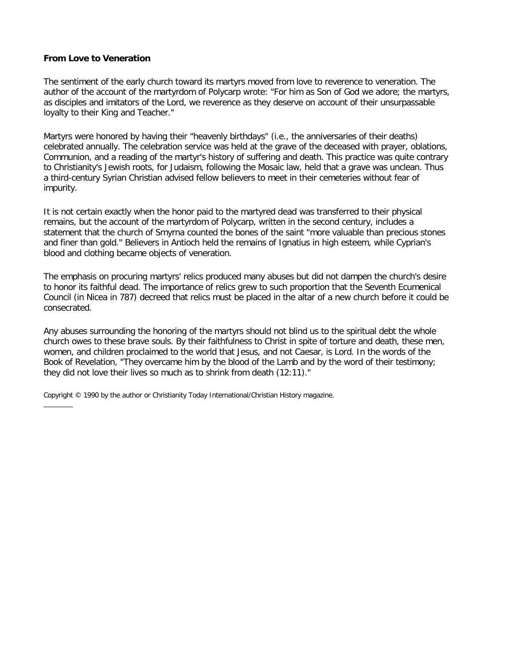#### **From Love to Veneration**

The sentiment of the early church toward its martyrs moved from love to reverence to veneration. The author of the account of the martyrdom of Polycarp wrote: "For him as Son of God we adore; the martyrs, as disciples and imitators of the Lord, we reverence as they deserve on account of their unsurpassable loyalty to their King and Teacher."

Martyrs were honored by having their "heavenly birthdays" (i.e., the anniversaries of their deaths) celebrated annually. The celebration service was held at the grave of the deceased with prayer, oblations, Communion, and a reading of the martyr's history of suffering and death. This practice was quite contrary to Christianity's Jewish roots, for Judaism, following the Mosaic law, held that a grave was unclean. Thus a third-century Syrian Christian advised fellow believers to meet in their cemeteries without fear of impurity.

It is not certain exactly when the honor paid to the martyred dead was transferred to their physical remains, but the account of the martyrdom of Polycarp, written in the second century, includes a statement that the church of Smyrna counted the bones of the saint "more valuable than precious stones and finer than gold." Believers in Antioch held the remains of Ignatius in high esteem, while Cyprian's blood and clothing became objects of veneration.

The emphasis on procuring martyrs' relics produced many abuses but did not dampen the church's desire to honor its faithful dead. The importance of relics grew to such proportion that the Seventh Ecumenical Council (in Nicea in 787) decreed that relics must be placed in the altar of a new church before it could be consecrated.

Any abuses surrounding the honoring of the martyrs should not blind us to the spiritual debt the whole church owes to these brave souls. By their faithfulness to Christ in spite of torture and death, these men, women, and children proclaimed to the world that Jesus, and not Caesar, is Lord. In the words of the Book of Revelation, "They overcame him by the blood of the Lamb and by the word of their testimony; they did not love their lives so much as to shrink from death (12:11)."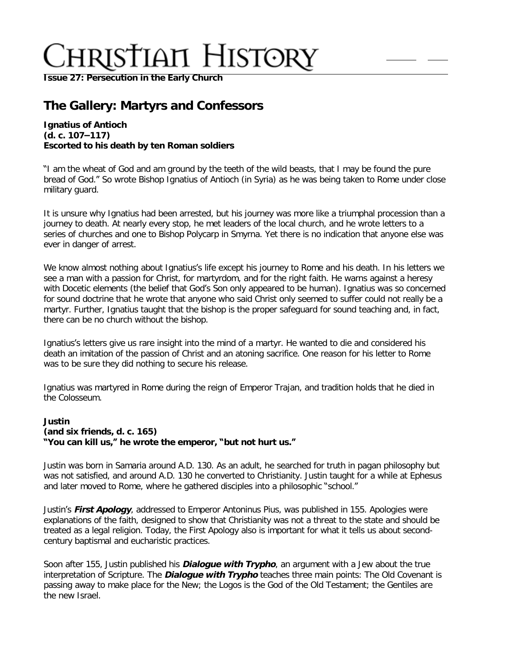# hristian Histor

**[Issue 27: Persecution in the Early Church](http://ctlstaging/ch/cdrom/collection.html?id=337)**

### **The Gallery: Martyrs and Confessors**

#### **Ignatius of Antioch (d. c. 107–117) Escorted to his death by ten Roman soldiers**

"I am the wheat of God and am ground by the teeth of the wild beasts, that I may be found the pure bread of God." So wrote Bishop Ignatius of Antioch (in Syria) as he was being taken to Rome under close military guard.

It is unsure why Ignatius had been arrested, but his journey was more like a triumphal procession than a journey to death. At nearly every stop, he met leaders of the local church, and he wrote letters to a series of churches and one to Bishop Polycarp in Smyrna. Yet there is no indication that anyone else was ever in danger of arrest.

We know almost nothing about Ignatius's life except his journey to Rome and his death. In his letters we see a man with a passion for Christ, for martyrdom, and for the right faith. He warns against a heresy with Docetic elements (the belief that God's Son only appeared to be human). Ignatius was so concerned for sound doctrine that he wrote that anyone who said Christ only seemed to suffer could not really be a martyr. Further, Ignatius taught that the bishop is the proper safeguard for sound teaching and, in fact, there can be no church without the bishop.

Ignatius's letters give us rare insight into the mind of a martyr. He wanted to die and considered his death an imitation of the passion of Christ and an atoning sacrifice. One reason for his letter to Rome was to be sure they did nothing to secure his release.

Ignatius was martyred in Rome during the reign of Emperor Trajan, and tradition holds that he died in the Colosseum.

#### **Justin (and six friends, d. c. 165) "You can kill us," he wrote the emperor, "but not hurt us."**

Justin was born in Samaria around A.D. 130. As an adult, he searched for truth in pagan philosophy but was not satisfied, and around A.D. 130 he converted to Christianity. Justin taught for a while at Ephesus and later moved to Rome, where he gathered disciples into a philosophic "school."

Justin's **First Apology**, addressed to Emperor Antoninus Pius, was published in 155. Apologies were explanations of the faith, designed to show that Christianity was not a threat to the state and should be treated as a legal religion. Today, the First Apology also is important for what it tells us about secondcentury baptismal and eucharistic practices.

Soon after 155, Justin published his **Dialogue with Trypho**, an argument with a Jew about the true interpretation of Scripture. The **Dialogue with Trypho** teaches three main points: The Old Covenant is passing away to make place for the New; the Logos is the God of the Old Testament; the Gentiles are the new Israel.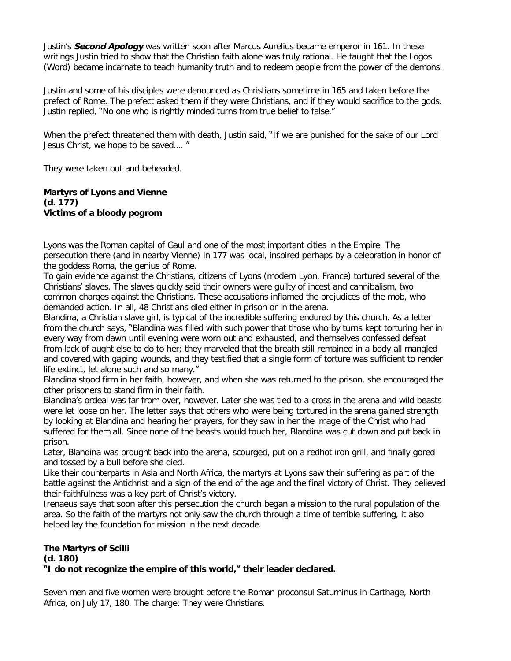Justin's **Second Apology** was written soon after Marcus Aurelius became emperor in 161. In these writings Justin tried to show that the Christian faith alone was truly rational. He taught that the Logos (Word) became incarnate to teach humanity truth and to redeem people from the power of the demons.

Justin and some of his disciples were denounced as Christians sometime in 165 and taken before the prefect of Rome. The prefect asked them if they were Christians, and if they would sacrifice to the gods. Justin replied, "No one who is rightly minded turns from true belief to false."

When the prefect threatened them with death, Justin said, "If we are punished for the sake of our Lord Jesus Christ, we hope to be saved.… "

They were taken out and beheaded.

#### **Martyrs of Lyons and Vienne (d. 177) Victims of a bloody pogrom**

Lyons was the Roman capital of Gaul and one of the most important cities in the Empire. The persecution there (and in nearby Vienne) in 177 was local, inspired perhaps by a celebration in honor of the goddess Roma, the genius of Rome.

To gain evidence against the Christians, citizens of Lyons (modern Lyon, France) tortured several of the Christians' slaves. The slaves quickly said their owners were guilty of incest and cannibalism, two common charges against the Christians. These accusations inflamed the prejudices of the mob, who demanded action. In all, 48 Christians died either in prison or in the arena.

Blandina, a Christian slave girl, is typical of the incredible suffering endured by this church. As a letter from the church says, "Blandina was filled with such power that those who by turns kept torturing her in every way from dawn until evening were worn out and exhausted, and themselves confessed defeat from lack of aught else to do to her; they marveled that the breath still remained in a body all mangled and covered with gaping wounds, and they testified that a single form of torture was sufficient to render life extinct, let alone such and so many."

Blandina stood firm in her faith, however, and when she was returned to the prison, she encouraged the other prisoners to stand firm in their faith.

Blandina's ordeal was far from over, however. Later she was tied to a cross in the arena and wild beasts were let loose on her. The letter says that others who were being tortured in the arena gained strength by looking at Blandina and hearing her prayers, for they saw in her the image of the Christ who had suffered for them all. Since none of the beasts would touch her, Blandina was cut down and put back in prison.

Later, Blandina was brought back into the arena, scourged, put on a redhot iron grill, and finally gored and tossed by a bull before she died.

Like their counterparts in Asia and North Africa, the martyrs at Lyons saw their suffering as part of the battle against the Antichrist and a sign of the end of the age and the final victory of Christ. They believed their faithfulness was a key part of Christ's victory.

Irenaeus says that soon after this persecution the church began a mission to the rural population of the area. So the faith of the martyrs not only saw the church through a time of terrible suffering, it also helped lay the foundation for mission in the next decade.

#### **The Martyrs of Scilli**

#### **(d. 180)**

#### **"I do not recognize the empire of this world," their leader declared.**

Seven men and five women were brought before the Roman proconsul Saturninus in Carthage, North Africa, on July 17, 180. The charge: They were Christians.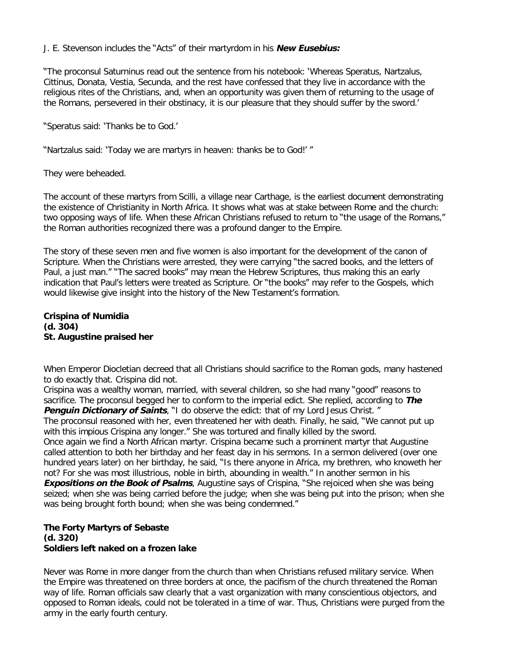#### J. E. Stevenson includes the "Acts" of their martyrdom in his **New Eusebius:**

"The proconsul Saturninus read out the sentence from his notebook: 'Whereas Speratus, Nartzalus, Cittinus, Donata, Vestia, Secunda, and the rest have confessed that they live in accordance with the religious rites of the Christians, and, when an opportunity was given them of returning to the usage of the Romans, persevered in their obstinacy, it is our pleasure that they should suffer by the sword.'

"Speratus said: 'Thanks be to God.'

"Nartzalus said: 'Today we are martyrs in heaven: thanks be to God!' "

They were beheaded.

The account of these martyrs from Scilli, a village near Carthage, is the earliest document demonstrating the existence of Christianity in North Africa. It shows what was at stake between Rome and the church: two opposing ways of life. When these African Christians refused to return to "the usage of the Romans," the Roman authorities recognized there was a profound danger to the Empire.

The story of these seven men and five women is also important for the development of the canon of Scripture. When the Christians were arrested, they were carrying "the sacred books, and the letters of Paul, a just man." "The sacred books" may mean the Hebrew Scriptures, thus making this an early indication that Paul's letters were treated as Scripture. Or "the books" may refer to the Gospels, which would likewise give insight into the history of the New Testament's formation.

#### **Crispina of Numidia (d. 304) St. Augustine praised her**

When Emperor Diocletian decreed that all Christians should sacrifice to the Roman gods, many hastened to do exactly that. Crispina did not.

Crispina was a wealthy woman, married, with several children, so she had many "good" reasons to sacrifice. The proconsul begged her to conform to the imperial edict. She replied, according to **The Penguin Dictionary of Saints**, "I do observe the edict: that of my Lord Jesus Christ." The proconsul reasoned with her, even threatened her with death. Finally, he said, "We cannot put up with this impious Crispina any longer." She was tortured and finally killed by the sword. Once again we find a North African martyr. Crispina became such a prominent martyr that Augustine called attention to both her birthday and her feast day in his sermons. In a sermon delivered (over one hundred years later) on her birthday, he said, "Is there anyone in Africa, my brethren, who knoweth her not? For she was most illustrious, noble in birth, abounding in wealth." In another sermon in his **Expositions on the Book of Psalms**, Augustine says of Crispina, "She rejoiced when she was being seized; when she was being carried before the judge; when she was being put into the prison; when she was being brought forth bound; when she was being condemned."

#### **The Forty Martyrs of Sebaste (d. 320) Soldiers left naked on a frozen lake**

Never was Rome in more danger from the church than when Christians refused military service. When the Empire was threatened on three borders at once, the pacifism of the church threatened the Roman way of life. Roman officials saw clearly that a vast organization with many conscientious objectors, and opposed to Roman ideals, could not be tolerated in a time of war. Thus, Christians were purged from the army in the early fourth century.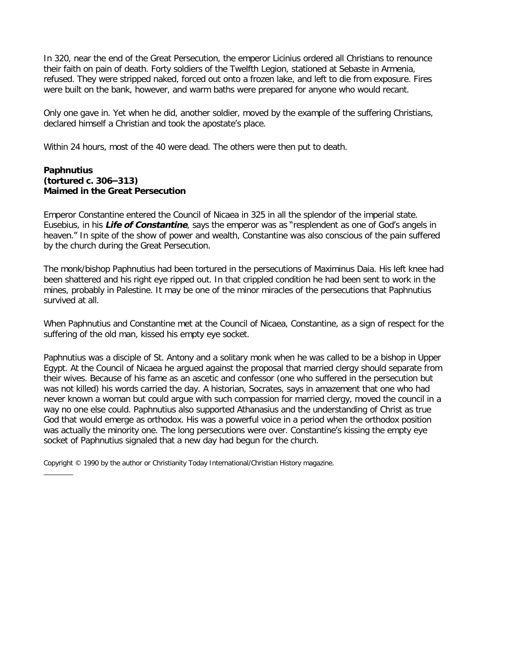In 320, near the end of the Great Persecution, the emperor Licinius ordered all Christians to renounce their faith on pain of death. Forty soldiers of the Twelfth Legion, stationed at Sebaste in Armenia, refused. They were stripped naked, forced out onto a frozen lake, and left to die from exposure. Fires were built on the bank, however, and warm baths were prepared for anyone who would recant.

Only one gave in. Yet when he did, another soldier, moved by the example of the suffering Christians, declared himself a Christian and took the apostate's place.

Within 24 hours, most of the 40 were dead. The others were then put to death.

#### **Paphnutius (tortured c. 306–313) Maimed in the Great Persecution**

Emperor Constantine entered the Council of Nicaea in 325 in all the splendor of the imperial state. Eusebius, in his **Life of Constantine**, says the emperor was as "resplendent as one of God's angels in heaven." In spite of the show of power and wealth, Constantine was also conscious of the pain suffered by the church during the Great Persecution.

The monk/bishop Paphnutius had been tortured in the persecutions of Maximinus Daia. His left knee had been shattered and his right eye ripped out. In that crippled condition he had been sent to work in the mines, probably in Palestine. It may be one of the minor miracles of the persecutions that Paphnutius survived at all.

When Paphnutius and Constantine met at the Council of Nicaea, Constantine, as a sign of respect for the suffering of the old man, kissed his empty eye socket.

Paphnutius was a disciple of St. Antony and a solitary monk when he was called to be a bishop in Upper Egypt. At the Council of Nicaea he argued against the proposal that married clergy should separate from their wives. Because of his fame as an ascetic and confessor (one who suffered in the persecution but was not killed) his words carried the day. A historian, Socrates, says in amazement that one who had never known a woman but could argue with such compassion for married clergy, moved the council in a way no one else could. Paphnutius also supported Athanasius and the understanding of Christ as true God that would emerge as orthodox. His was a powerful voice in a period when the orthodox position was actually the minority one. The long persecutions were over. Constantine's kissing the empty eye socket of Paphnutius signaled that a new day had begun for the church.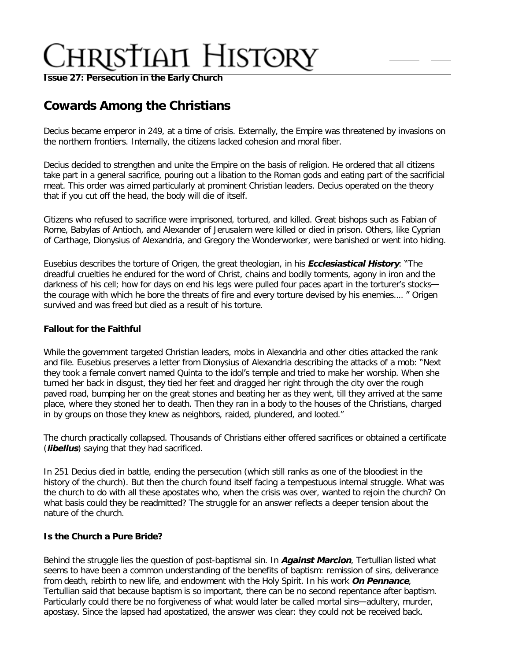# hristian Histor

**[Issue 27: Persecution in the Early Church](http://ctlstaging/ch/cdrom/collection.html?id=337)**

### **Cowards Among the Christians**

Decius became emperor in 249, at a time of crisis. Externally, the Empire was threatened by invasions on the northern frontiers. Internally, the citizens lacked cohesion and moral fiber.

Decius decided to strengthen and unite the Empire on the basis of religion. He ordered that all citizens take part in a general sacrifice, pouring out a libation to the Roman gods and eating part of the sacrificial meat. This order was aimed particularly at prominent Christian leaders. Decius operated on the theory that if you cut off the head, the body will die of itself.

Citizens who refused to sacrifice were imprisoned, tortured, and killed. Great bishops such as Fabian of Rome, Babylas of Antioch, and Alexander of Jerusalem were killed or died in prison. Others, like Cyprian of Carthage, Dionysius of Alexandria, and Gregory the Wonderworker, were banished or went into hiding.

Eusebius describes the torture of Origen, the great theologian, in his **Ecclesiastical History**: "The dreadful cruelties he endured for the word of Christ, chains and bodily torments, agony in iron and the darkness of his cell; how for days on end his legs were pulled four paces apart in the torturer's stocks the courage with which he bore the threats of fire and every torture devised by his enemies.… " Origen survived and was freed but died as a result of his torture.

#### **Fallout for the Faithful**

While the government targeted Christian leaders, mobs in Alexandria and other cities attacked the rank and file. Eusebius preserves a letter from Dionysius of Alexandria describing the attacks of a mob: "Next they took a female convert named Quinta to the idol's temple and tried to make her worship. When she turned her back in disgust, they tied her feet and dragged her right through the city over the rough paved road, bumping her on the great stones and beating her as they went, till they arrived at the same place, where they stoned her to death. Then they ran in a body to the houses of the Christians, charged in by groups on those they knew as neighbors, raided, plundered, and looted."

The church practically collapsed. Thousands of Christians either offered sacrifices or obtained a certificate (**libellus**) saying that they had sacrificed.

In 251 Decius died in battle, ending the persecution (which still ranks as one of the bloodiest in the history of the church). But then the church found itself facing a tempestuous internal struggle. What was the church to do with all these apostates who, when the crisis was over, wanted to rejoin the church? On what basis could they be readmitted? The struggle for an answer reflects a deeper tension about the nature of the church.

#### **Is the Church a Pure Bride?**

Behind the struggle lies the question of post-baptismal sin. In **Against Marcion**, Tertullian listed what seems to have been a common understanding of the benefits of baptism: remission of sins, deliverance from death, rebirth to new life, and endowment with the Holy Spirit. In his work **On Pennance**, Tertullian said that because baptism is so important, there can be no second repentance after baptism. Particularly could there be no forgiveness of what would later be called mortal sins—adultery, murder, apostasy. Since the lapsed had apostatized, the answer was clear: they could not be received back.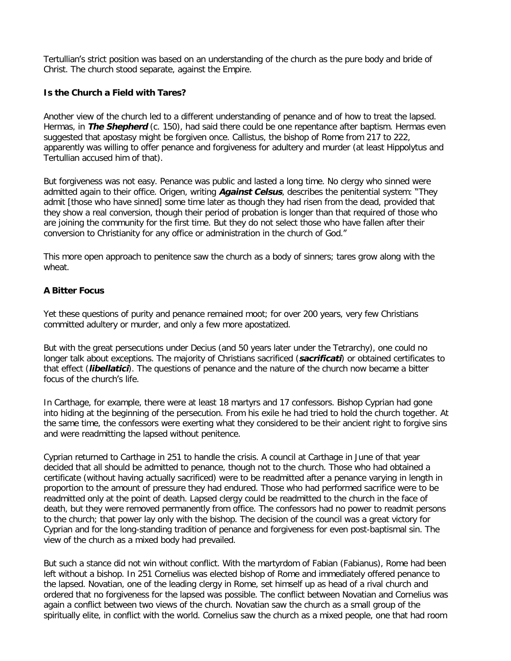Tertullian's strict position was based on an understanding of the church as the pure body and bride of Christ. The church stood separate, against the Empire.

#### **Is the Church a Field with Tares?**

Another view of the church led to a different understanding of penance and of how to treat the lapsed. Hermas, in **The Shepherd** (c. 150), had said there could be one repentance after baptism. Hermas even suggested that apostasy might be forgiven once. Callistus, the bishop of Rome from 217 to 222, apparently was willing to offer penance and forgiveness for adultery and murder (at least Hippolytus and Tertullian accused him of that).

But forgiveness was not easy. Penance was public and lasted a long time. No clergy who sinned were admitted again to their office. Origen, writing **Against Celsus**, describes the penitential system: "They admit [those who have sinned] some time later as though they had risen from the dead, provided that they show a real conversion, though their period of probation is longer than that required of those who are joining the community for the first time. But they do not select those who have fallen after their conversion to Christianity for any office or administration in the church of God."

This more open approach to penitence saw the church as a body of sinners; tares grow along with the wheat.

#### **A Bitter Focus**

Yet these questions of purity and penance remained moot; for over 200 years, very few Christians committed adultery or murder, and only a few more apostatized.

But with the great persecutions under Decius (and 50 years later under the Tetrarchy), one could no longer talk about exceptions. The majority of Christians sacrificed (**sacrificati**) or obtained certificates to that effect (**libellatici**). The questions of penance and the nature of the church now became a bitter focus of the church's life.

In Carthage, for example, there were at least 18 martyrs and 17 confessors. Bishop Cyprian had gone into hiding at the beginning of the persecution. From his exile he had tried to hold the church together. At the same time, the confessors were exerting what they considered to be their ancient right to forgive sins and were readmitting the lapsed without penitence.

Cyprian returned to Carthage in 251 to handle the crisis. A council at Carthage in June of that year decided that all should be admitted to penance, though not to the church. Those who had obtained a certificate (without having actually sacrificed) were to be readmitted after a penance varying in length in proportion to the amount of pressure they had endured. Those who had performed sacrifice were to be readmitted only at the point of death. Lapsed clergy could be readmitted to the church in the face of death, but they were removed permanently from office. The confessors had no power to readmit persons to the church; that power lay only with the bishop. The decision of the council was a great victory for Cyprian and for the long-standing tradition of penance and forgiveness for even post-baptismal sin. The view of the church as a mixed body had prevailed.

But such a stance did not win without conflict. With the martyrdom of Fabian (Fabianus), Rome had been left without a bishop. In 251 Cornelius was elected bishop of Rome and immediately offered penance to the lapsed. Novatian, one of the leading clergy in Rome, set himself up as head of a rival church and ordered that no forgiveness for the lapsed was possible. The conflict between Novatian and Cornelius was again a conflict between two views of the church. Novatian saw the church as a small group of the spiritually elite, in conflict with the world. Cornelius saw the church as a mixed people, one that had room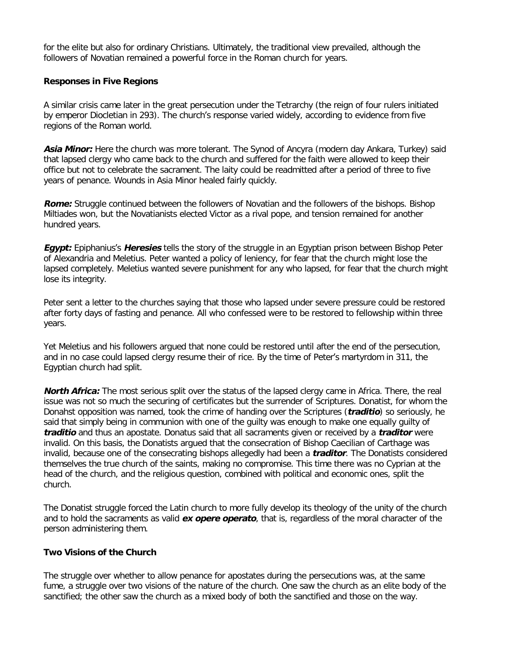for the elite but also for ordinary Christians. Ultimately, the traditional view prevailed, although the followers of Novatian remained a powerful force in the Roman church for years.

#### **Responses in Five Regions**

A similar crisis came later in the great persecution under the Tetrarchy (the reign of four rulers initiated by emperor Diocletian in 293). The church's response varied widely, according to evidence from five regions of the Roman world.

**Asia Minor:** Here the church was more tolerant. The Synod of Ancyra (modern day Ankara, Turkey) said that lapsed clergy who came back to the church and suffered for the faith were allowed to keep their office but not to celebrate the sacrament. The laity could be readmitted after a period of three to five years of penance. Wounds in Asia Minor healed fairly quickly.

**Rome:** Struggle continued between the followers of Novatian and the followers of the bishops. Bishop Miltiades won, but the Novatianists elected Victor as a rival pope, and tension remained for another hundred years.

**Egypt:** Epiphanius's **Heresies** tells the story of the struggle in an Egyptian prison between Bishop Peter of Alexandria and Meletius. Peter wanted a policy of leniency, for fear that the church might lose the lapsed completely. Meletius wanted severe punishment for any who lapsed, for fear that the church might lose its integrity.

Peter sent a letter to the churches saying that those who lapsed under severe pressure could be restored after forty days of fasting and penance. All who confessed were to be restored to fellowship within three years.

Yet Meletius and his followers argued that none could be restored until after the end of the persecution, and in no case could lapsed clergy resume their of rice. By the time of Peter's martyrdom in 311, the Egyptian church had split.

**North Africa:** The most serious split over the status of the lapsed clergy came in Africa. There, the real issue was not so much the securing of certificates but the surrender of Scriptures. Donatist, for whom the Donahst opposition was named, took the crime of handing over the Scriptures (**traditio**) so seriously, he said that simply being in communion with one of the guilty was enough to make one equally guilty of **traditio** and thus an apostate. Donatus said that all sacraments given or received by a **traditor** were invalid. On this basis, the Donatists argued that the consecration of Bishop Caecilian of Carthage was invalid, because one of the consecrating bishops allegedly had been a **traditor**. The Donatists considered themselves the true church of the saints, making no compromise. This time there was no Cyprian at the head of the church, and the religious question, combined with political and economic ones, split the church.

The Donatist struggle forced the Latin church to more fully develop its theology of the unity of the church and to hold the sacraments as valid **ex opere operato**, that is, regardless of the moral character of the person administering them.

#### **Two Visions of the Church**

The struggle over whether to allow penance for apostates during the persecutions was, at the same fume, a struggle over two visions of the nature of the church. One saw the church as an elite body of the sanctified; the other saw the church as a mixed body of both the sanctified and those on the way.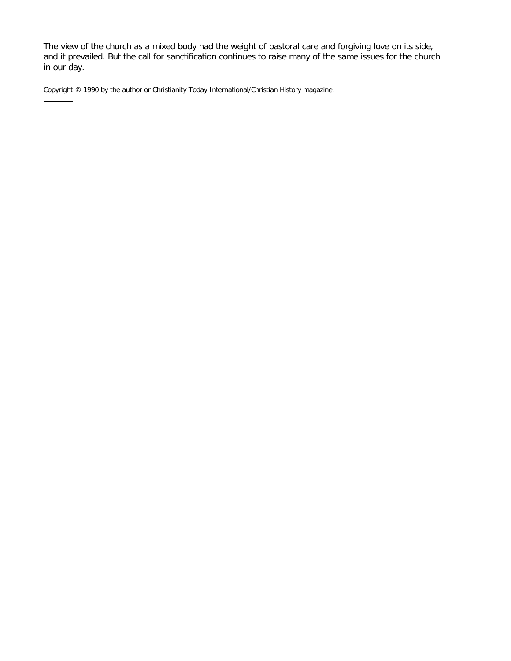The view of the church as a mixed body had the weight of pastoral care and forgiving love on its side, and it prevailed. But the call for sanctification continues to raise many of the same issues for the church in our day.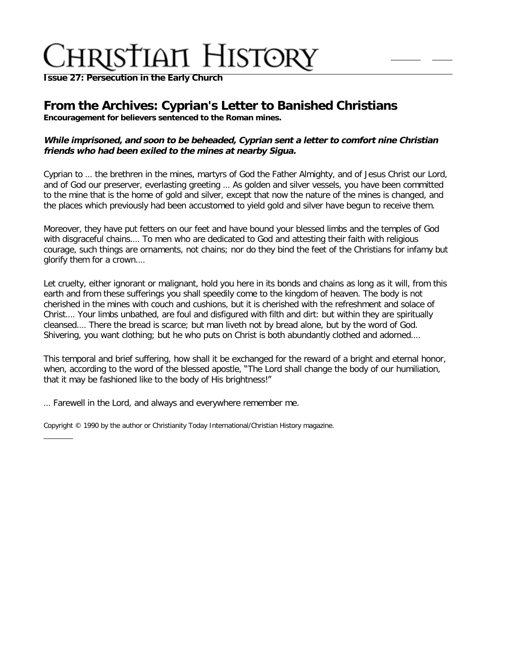# hristian Histor

**[Issue 27: Persecution in the Early Church](http://ctlstaging/ch/cdrom/collection.html?id=337)**

### **From the Archives: Cyprian's Letter to Banished Christians**

**Encouragement for believers sentenced to the Roman mines.**

#### **While imprisoned, and soon to be beheaded, Cyprian sent a letter to comfort nine Christian friends who had been exiled to the mines at nearby Sigua.**

Cyprian to … the brethren in the mines, martyrs of God the Father Almighty, and of Jesus Christ our Lord, and of God our preserver, everlasting greeting … As golden and silver vessels, you have been committed to the mine that is the home of gold and silver, except that now the nature of the mines is changed, and the places which previously had been accustomed to yield gold and silver have begun to receive them.

Moreover, they have put fetters on our feet and have bound your blessed limbs and the temples of God with disgraceful chains.… To men who are dedicated to God and attesting their faith with religious courage, such things are ornaments, not chains; nor do they bind the feet of the Christians for infamy but glorify them for a crown.…

Let cruelty, either ignorant or malignant, hold you here in its bonds and chains as long as it will, from this earth and from these sufferings you shall speedily come to the kingdom of heaven. The body is not cherished in the mines with couch and cushions, but it is cherished with the refreshment and solace of Christ.… Your limbs unbathed, are foul and disfigured with filth and dirt: but within they are spiritually cleansed.… There the bread is scarce; but man liveth not by bread alone, but by the word of God. Shivering, you want clothing; but he who puts on Christ is both abundantly clothed and adorned.…

This temporal and brief suffering, how shall it be exchanged for the reward of a bright and eternal honor, when, according to the word of the blessed apostle, "The Lord shall change the body of our humiliation, that it may be fashioned like to the body of His brightness!"

… Farewell in the Lord, and always and everywhere remember me.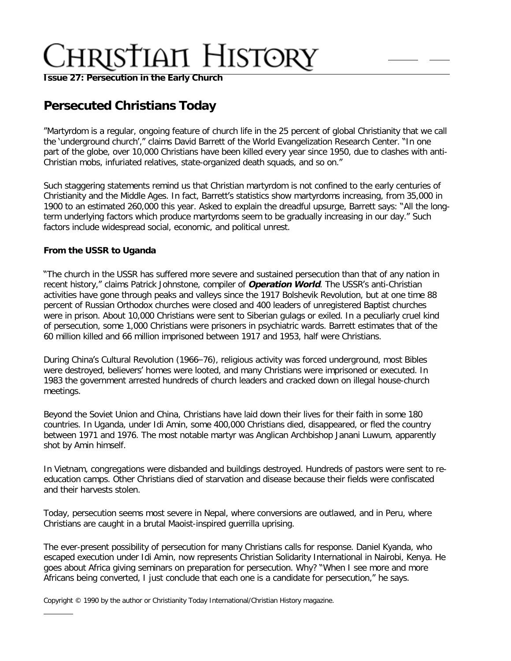# hristian History

**[Issue 27: Persecution in the Early Church](http://ctlstaging/ch/cdrom/collection.html?id=337)**

### **Persecuted Christians Today**

"Martyrdom is a regular, ongoing feature of church life in the 25 percent of global Christianity that we call the 'underground church'," claims David Barrett of the World Evangelization Research Center. "In one part of the globe, over 10,000 Christians have been killed every year since 1950, due to clashes with anti-Christian mobs, infuriated relatives, state-organized death squads, and so on."

Such staggering statements remind us that Christian martyrdom is not confined to the early centuries of Christianity and the Middle Ages. In fact, Barrett's statistics show martyrdoms increasing, from 35,000 in 1900 to an estimated 260,000 this year. Asked to explain the dreadful upsurge, Barrett says: "All the longterm underlying factors which produce martyrdoms seem to be gradually increasing in our day." Such factors include widespread social, economic, and political unrest.

#### **From the USSR to Uganda**

"The church in the USSR has suffered more severe and sustained persecution than that of any nation in recent history," claims Patrick Johnstone, compiler of **Operation World**. The USSR's anti-Christian activities have gone through peaks and valleys since the 1917 Bolshevik Revolution, but at one time 88 percent of Russian Orthodox churches were closed and 400 leaders of unregistered Baptist churches were in prison. About 10,000 Christians were sent to Siberian gulags or exiled. In a peculiarly cruel kind of persecution, some 1,000 Christians were prisoners in psychiatric wards. Barrett estimates that of the 60 million killed and 66 million imprisoned between 1917 and 1953, half were Christians.

During China's Cultural Revolution (1966–76), religious activity was forced underground, most Bibles were destroyed, believers' homes were looted, and many Christians were imprisoned or executed. In 1983 the government arrested hundreds of church leaders and cracked down on illegal house-church meetings.

Beyond the Soviet Union and China, Christians have laid down their lives for their faith in some 180 countries. In Uganda, under Idi Amin, some 400,000 Christians died, disappeared, or fled the country between 1971 and 1976. The most notable martyr was Anglican Archbishop Janani Luwum, apparently shot by Amin himself.

In Vietnam, congregations were disbanded and buildings destroyed. Hundreds of pastors were sent to reeducation camps. Other Christians died of starvation and disease because their fields were confiscated and their harvests stolen.

Today, persecution seems most severe in Nepal, where conversions are outlawed, and in Peru, where Christians are caught in a brutal Maoist-inspired guerrilla uprising.

The ever-present possibility of persecution for many Christians calls for response. Daniel Kyanda, who escaped execution under Idi Amin, now represents Christian Solidarity International in Nairobi, Kenya. He goes about Africa giving seminars on preparation for persecution. Why? "When I see more and more Africans being converted, I just conclude that each one is a candidate for persecution," he says.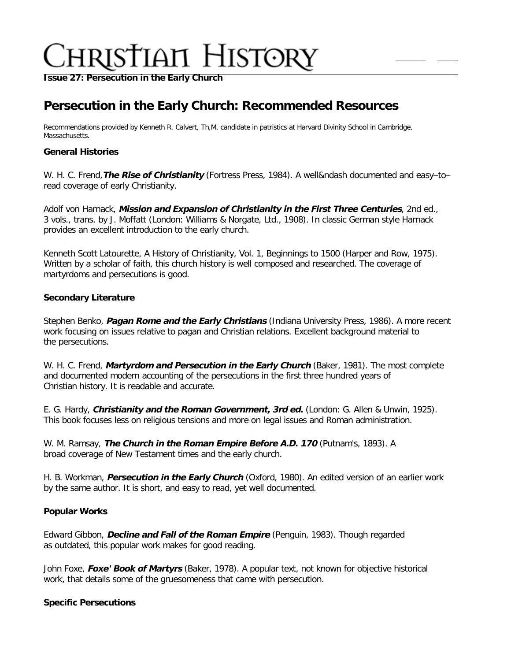## hristian Histor

**[Issue 27: Persecution in the Early Church](http://ctlstaging/ch/cdrom/collection.html?id=337)**

### **Persecution in the Early Church: Recommended Resources**

Recommendations provided by Kenneth R. Calvert, Th,M. candidate in patristics at Harvard Divinity School in Cambridge, Massachusetts.

#### **General Histories**

W. H. C. Frend,**The Rise of Christianity** (Fortress Press, 1984). A well&ndash documented and easy–to– read coverage of early Christianity.

Adolf von Harnack, **Mission and Expansion of Christianity in the First Three Centuries**, 2nd ed., 3 vols., trans. by J. Moffatt (London: Williams & Norgate, Ltd., 1908). In classic German style Harnack provides an excellent introduction to the early church.

Kenneth Scott Latourette, A History of Christianity, Vol. 1, Beginnings to 1500 (Harper and Row, 1975). Written by a scholar of faith, this church history is well composed and researched. The coverage of martyrdoms and persecutions is good.

#### **Secondary Literature**

Stephen Benko, **Pagan Rome and the Early Christians** (Indiana University Press, 1986). A more recent work focusing on issues relative to pagan and Christian relations. Excellent background material to the persecutions.

W. H. C. Frend, **Martyrdom and Persecution in the Early Church** (Baker, 1981). The most complete and documented modern accounting of the persecutions in the first three hundred years of Christian history. It is readable and accurate.

E. G. Hardy, **Christianity and the Roman Government, 3rd ed.** (London: G. Allen & Unwin, 1925). This book focuses less on religious tensions and more on legal issues and Roman administration.

W. M. Ramsay, **The Church in the Roman Empire Before A.D. 170** (Putnam's, 1893). A broad coverage of New Testament times and the early church.

H. B. Workman, **Persecution in the Early Church** (Oxford, 1980). An edited version of an earlier work by the same author. It is short, and easy to read, yet well documented.

#### **Popular Works**

Edward Gibbon, **Decline and Fall of the Roman Empire** (Penguin, 1983). Though regarded as outdated, this popular work makes for good reading.

John Foxe, **Foxe' Book of Martyrs** (Baker, 1978). A popular text, not known for objective historical work, that details some of the gruesomeness that came with persecution.

#### **Specific Persecutions**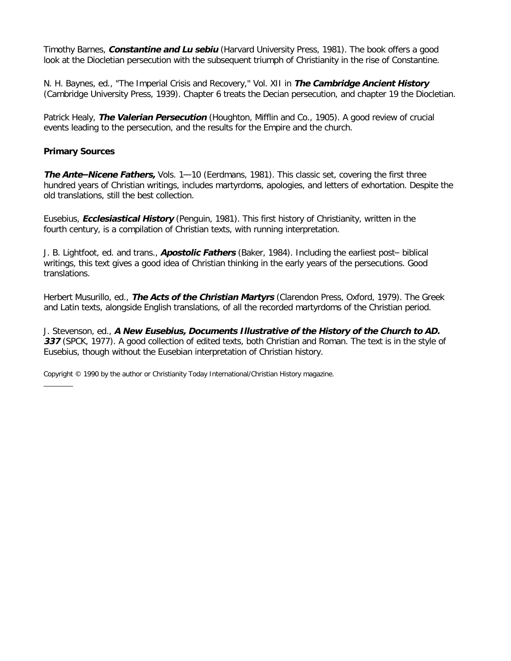Timothy Barnes, **Constantine and Lu sebiu** (Harvard University Press, 1981). The book offers a good look at the Diocletian persecution with the subsequent triumph of Christianity in the rise of Constantine.

N. H. Baynes, ed., "The Imperial Crisis and Recovery," Vol. XII in **The Cambridge Ancient History**  (Cambridge University Press, 1939). Chapter 6 treats the Decian persecution, and chapter 19 the Diocletian.

Patrick Healy, **The Valerian Persecution** (Houghton, Mifflin and Co., 1905). A good review of crucial events leading to the persecution, and the results for the Empire and the church.

#### **Primary Sources**

**The Ante–Nicene Fathers,** Vols. 1—10 (Eerdmans, 1981). This classic set, covering the first three hundred years of Christian writings, includes martyrdoms, apologies, and letters of exhortation. Despite the old translations, still the best collection.

Eusebius, **Ecclesiastical History** (Penguin, 1981). This first history of Christianity, written in the fourth century, is a compilation of Christian texts, with running interpretation.

J. B. Lightfoot, ed. and trans., **Apostolic Fathers** (Baker, 1984). Including the earliest post– biblical writings, this text gives a good idea of Christian thinking in the early years of the persecutions. Good translations.

Herbert Musurillo, ed., **The Acts of the Christian Martyrs** (Clarendon Press, Oxford, 1979). The Greek and Latin texts, alongside English translations, of all the recorded martyrdoms of the Christian period.

J. Stevenson, ed., **A New Eusebius, Documents Illustrative of the History of the Church to AD. 337** (SPCK, 1977). A good collection of edited texts, both Christian and Roman. The text is in the style of Eusebius, though without the Eusebian interpretation of Christian history.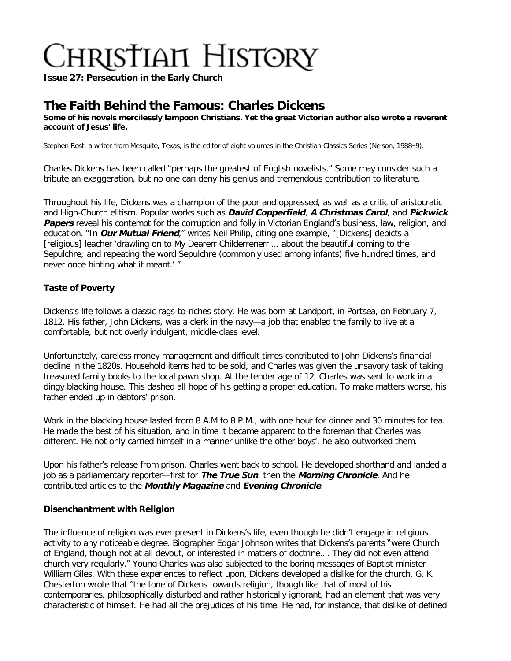# hristian Histor

**[Issue 27: Persecution in the Early Church](http://ctlstaging/ch/cdrom/collection.html?id=337)**

### **The Faith Behind the Famous: Charles Dickens**

**Some of his novels mercilessly lampoon Christians. Yet the great Victorian author also wrote a reverent account of Jesus' life.**

Stephen Rost, a writer from Mesquite, Texas, is the editor of eight volumes in the Christian Classics Series (Nelson, 1988–9).

Charles Dickens has been called "perhaps the greatest of English novelists." Some may consider such a tribute an exaggeration, but no one can deny his genius and tremendous contribution to literature.

Throughout his life, Dickens was a champion of the poor and oppressed, as well as a critic of aristocratic and High-Church elitism. Popular works such as **David Copperfield**, **A Christmas Carol**, and **Pickwick Papers** reveal his contempt for the corruption and folly in Victorian England's business, law, religion, and education. "In **Our Mutual Friend**," writes Neil Philip, citing one example, "[Dickens] depicts a [religious] leacher 'drawling on to My Dearerr Childerrenerr … about the beautiful coming to the Sepulchre; and repeating the word Sepulchre (commonly used among infants) five hundred times, and never once hinting what it meant.' "

#### **Taste of Poverty**

Dickens's life follows a classic rags-to-riches story. He was born at Landport, in Portsea, on February 7, 1812. His father, John Dickens, was a clerk in the navy—a job that enabled the family to live at a comfortable, but not overly indulgent, middle-class level.

Unfortunately, careless money management and difficult times contributed to John Dickens's financial decline in the 1820s. Household items had to be sold, and Charles was given the unsavory task of taking treasured family books to the local pawn shop. At the tender age of 12, Charles was sent to work in a dingy blacking house. This dashed all hope of his getting a proper education. To make matters worse, his father ended up in debtors' prison.

Work in the blacking house lasted from 8 A.M to 8 P.M., with one hour for dinner and 30 minutes for tea. He made the best of his situation, and in time it became apparent to the foreman that Charles was different. He not only carried himself in a manner unlike the other boys', he also outworked them.

Upon his father's release from prison, Charles went back to school. He developed shorthand and landed a job as a parliamentary reporter—first for **The True Sun**, then the **Morning Chronicle**. And he contributed articles to the **Monthly Magazine** and **Evening Chronicle**.

#### **Disenchantment with Religion**

The influence of religion was ever present in Dickens's life, even though he didn't engage in religious activity to any noticeable degree. Biographer Edgar Johnson writes that Dickens's parents "were Church of England, though not at all devout, or interested in matters of doctrine.… They did not even attend church very regularly." Young Charles was also subjected to the boring messages of Baptist minister William Giles. With these experiences to reflect upon, Dickens developed a dislike for the church. G. K. Chesterton wrote that "the tone of Dickens towards religion, though like that of most of his contemporaries, philosophically disturbed and rather historically ignorant, had an element that was very characteristic of himself. He had all the prejudices of his time. He had, for instance, that dislike of defined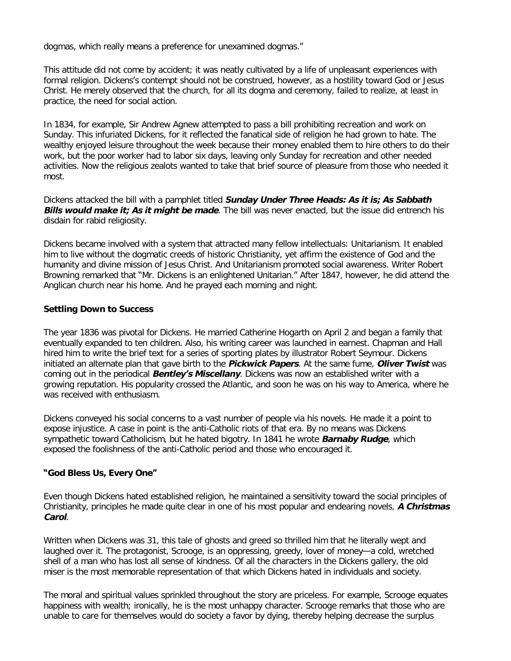dogmas, which really means a preference for unexamined dogmas."

This attitude did not come by accident; it was neatly cultivated by a life of unpleasant experiences with formal religion. Dickens's contempt should not be construed, however, as a hostility toward God or Jesus Christ. He merely observed that the church, for all its dogma and ceremony, failed to realize, at least in practice, the need for social action.

In 1834, for example, Sir Andrew Agnew attempted to pass a bill prohibiting recreation and work on Sunday. This infuriated Dickens, for it reflected the fanatical side of religion he had grown to hate. The wealthy enjoyed leisure throughout the week because their money enabled them to hire others to do their work, but the poor worker had to labor six days, leaving only Sunday for recreation and other needed activities. Now the religious zealots wanted to take that brief source of pleasure from those who needed it most.

Dickens attacked the bill with a pamphlet titled **Sunday Under Three Heads: As it is; As Sabbath Bills would make it; As it might be made**. The bill was never enacted, but the issue did entrench his disdain for rabid religiosity.

Dickens became involved with a system that attracted many fellow intellectuals: Unitarianism. It enabled him to live without the dogmatic creeds of historic Christianity, yet affirm the existence of God and the humanity and divine mission of Jesus Christ. And Unitarianism promoted social awareness. Writer Robert Browning remarked that "Mr. Dickens is an enlightened Unitarian." After 1847, however, he did attend the Anglican church near his home. And he prayed each morning and night.

#### **Settling Down to Success**

The year 1836 was pivotal for Dickens. He married Catherine Hogarth on April 2 and began a family that eventually expanded to ten children. Also, his writing career was launched in earnest. Chapman and Hall hired him to write the brief text for a series of sporting plates by illustrator Robert Seymour. Dickens initiated an alternate plan that gave birth to the **Pickwick Papers**. At the same fume, **Oliver Twist** was coming out in the periodical **Bentley's Miscellany**. Dickens was now an established writer with a growing reputation. His popularity crossed the Atlantic, and soon he was on his way to America, where he was received with enthusiasm.

Dickens conveyed his social concerns to a vast number of people via his novels. He made it a point to expose injustice. A case in point is the anti-Catholic riots of that era. By no means was Dickens sympathetic toward Catholicism, but he hated bigotry. In 1841 he wrote **Barnaby Rudge**, which exposed the foolishness of the anti-Catholic period and those who encouraged it.

#### **"God Bless Us, Every One"**

Even though Dickens hated established religion, he maintained a sensitivity toward the social principles of Christianity, principles he made quite clear in one of his most popular and endearing novels, **A Christmas Carol**.

Written when Dickens was 31, this tale of ghosts and greed so thrilled him that he literally wept and laughed over it. The protagonist, Scrooge, is an oppressing, greedy, lover of money—a cold, wretched shell of a man who has lost all sense of kindness. Of all the characters in the Dickens gallery, the old miser is the most memorable representation of that which Dickens hated in individuals and society.

The moral and spiritual values sprinkled throughout the story are priceless. For example, Scrooge equates happiness with wealth; ironically, he is the most unhappy character. Scrooge remarks that those who are unable to care for themselves would do society a favor by dying, thereby helping decrease the surplus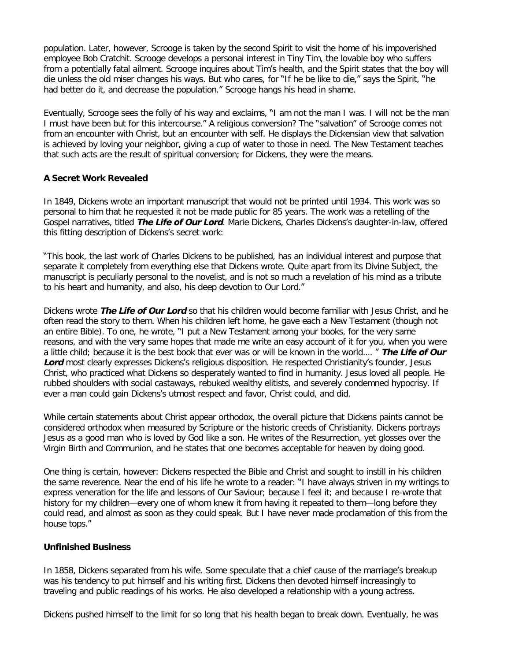population. Later, however, Scrooge is taken by the second Spirit to visit the home of his impoverished employee Bob Cratchit. Scrooge develops a personal interest in Tiny Tim, the lovable boy who suffers from a potentially fatal ailment. Scrooge inquires about Tim's health, and the Spirit states that the boy will die unless the old miser changes his ways. But who cares, for "If he be like to die," says the Spirit, "he had better do it, and decrease the population." Scrooge hangs his head in shame.

Eventually, Scrooge sees the folly of his way and exclaims, "I am not the man I was. I will not be the man I must have been but for this intercourse." A religious conversion? The "salvation" of Scrooge comes not from an encounter with Christ, but an encounter with self. He displays the Dickensian view that salvation is achieved by loving your neighbor, giving a cup of water to those in need. The New Testament teaches that such acts are the result of spiritual conversion; for Dickens, they were the means.

#### **A Secret Work Revealed**

In 1849, Dickens wrote an important manuscript that would not be printed until 1934. This work was so personal to him that he requested it not be made public for 85 years. The work was a retelling of the Gospel narratives, titled **The Life of Our Lord**. Marie Dickens, Charles Dickens's daughter-in-law, offered this fitting description of Dickens's secret work:

"This book, the last work of Charles Dickens to be published, has an individual interest and purpose that separate it completely from everything else that Dickens wrote. Quite apart from its Divine Subject, the manuscript is peculiarly personal to the novelist, and is not so much a revelation of his mind as a tribute to his heart and humanity, and also, his deep devotion to Our Lord."

Dickens wrote **The Life of Our Lord** so that his children would become familiar with Jesus Christ, and he often read the story to them. When his children left home, he gave each a New Testament (though not an entire Bible). To one, he wrote, "I put a New Testament among your books, for the very same reasons, and with the very same hopes that made me write an easy account of it for you, when you were a little child; because it is the best book that ever was or will be known in the world.… " **The Life of Our**  Lord most clearly expresses Dickens's religious disposition. He respected Christianity's founder, Jesus Christ, who practiced what Dickens so desperately wanted to find in humanity. Jesus loved all people. He rubbed shoulders with social castaways, rebuked wealthy elitists, and severely condemned hypocrisy. If ever a man could gain Dickens's utmost respect and favor, Christ could, and did.

While certain statements about Christ appear orthodox, the overall picture that Dickens paints cannot be considered orthodox when measured by Scripture or the historic creeds of Christianity. Dickens portrays Jesus as a good man who is loved by God like a son. He writes of the Resurrection, yet glosses over the Virgin Birth and Communion, and he states that one becomes acceptable for heaven by doing good.

One thing is certain, however: Dickens respected the Bible and Christ and sought to instill in his children the same reverence. Near the end of his life he wrote to a reader: "I have always striven in my writings to express veneration for the life and lessons of Our Saviour; because I feel it; and because I re-wrote that history for my children—every one of whom knew it from having it repeated to them—long before they could read, and almost as soon as they could speak. But I have never made proclamation of this from the house tops."

#### **Unfinished Business**

In 1858, Dickens separated from his wife. Some speculate that a chief cause of the marriage's breakup was his tendency to put himself and his writing first. Dickens then devoted himself increasingly to traveling and public readings of his works. He also developed a relationship with a young actress.

Dickens pushed himself to the limit for so long that his health began to break down. Eventually, he was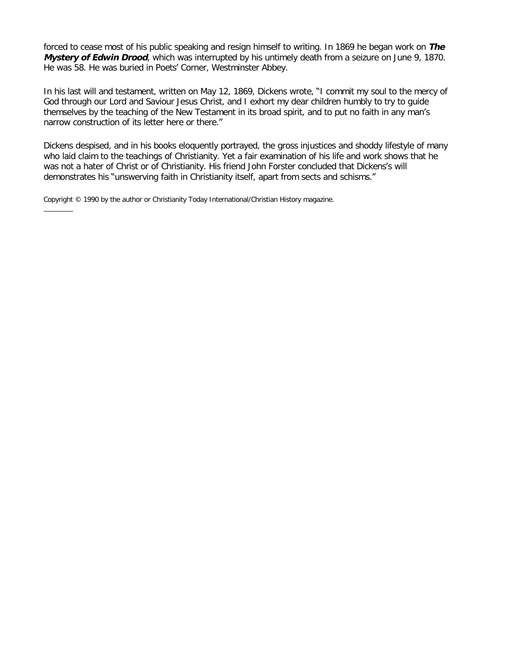forced to cease most of his public speaking and resign himself to writing. In 1869 he began work on **The Mystery of Edwin Drood**, which was interrupted by his untimely death from a seizure on June 9, 1870. He was 58. He was buried in Poets' Corner, Westminster Abbey.

In his last will and testament, written on May 12, 1869, Dickens wrote, "I commit my soul to the mercy of God through our Lord and Saviour Jesus Christ, and I exhort my dear children humbly to try to guide themselves by the teaching of the New Testament in its broad spirit, and to put no faith in any man's narrow construction of its letter here or there."

Dickens despised, and in his books eloquently portrayed, the gross injustices and shoddy lifestyle of many who laid claim to the teachings of Christianity. Yet a fair examination of his life and work shows that he was not a hater of Christ or of Christianity. His friend John Forster concluded that Dickens's will demonstrates his "unswerving faith in Christianity itself, apart from sects and schisms."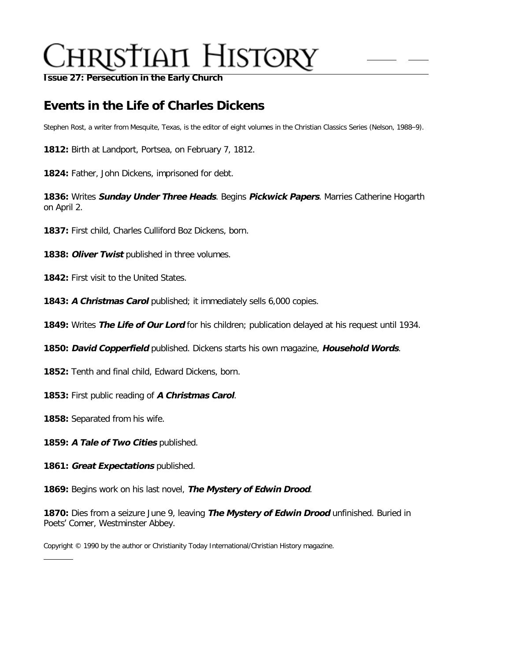# hristian Histor

**[Issue 27: Persecution in the Early Church](http://ctlstaging/ch/cdrom/collection.html?id=337)**

### **Events in the Life of Charles Dickens**

Stephen Rost, a writer from Mesquite, Texas, is the editor of eight volumes in the Christian Classics Series (Nelson, 1988–9).

**1812:** Birth at Landport, Portsea, on February 7, 1812.

**1824:** Father, John Dickens, imprisoned for debt.

**1836:** Writes **Sunday Under Three Heads**. Begins **Pickwick Papers**. Marries Catherine Hogarth on April 2.

**1837:** First child, Charles Culliford Boz Dickens, born.

**1838: Oliver Twist** published in three volumes.

**1842:** First visit to the United States.

**1843: A Christmas Carol** published; it immediately sells 6,000 copies.

**1849:** Writes **The Life of Our Lord** for his children; publication delayed at his request until 1934.

**1850: David Copperfield** published. Dickens starts his own magazine, **Household Words**.

**1852:** Tenth and final child, Edward Dickens, born.

**1853:** First public reading of **A Christmas Carol**.

**1858:** Separated from his wife.

**1859: A Tale of Two Cities** published.

**1861: Great Expectations** published.

**1869:** Begins work on his last novel, **The Mystery of Edwin Drood**.

**1870:** Dies from a seizure June 9, leaving **The Mystery of Edwin Drood** unfinished. Buried in Poets' Comer, Westminster Abbey.